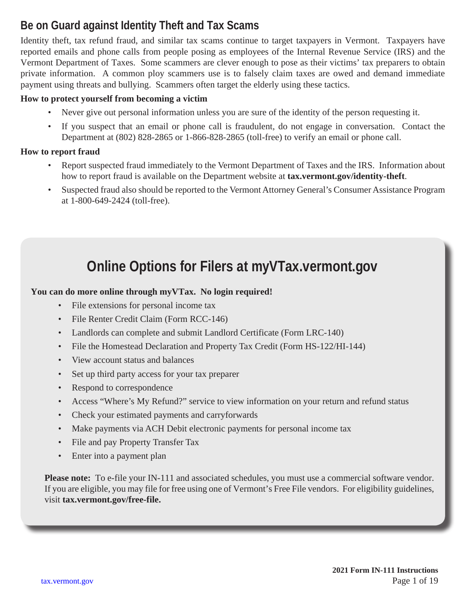### **Be on Guard against Identity Theft and Tax Scams**

Identity theft, tax refund fraud, and similar tax scams continue to target taxpayers in Vermont. Taxpayers have reported emails and phone calls from people posing as employees of the Internal Revenue Service (IRS) and the Vermont Department of Taxes. Some scammers are clever enough to pose as their victims' tax preparers to obtain private information. A common ploy scammers use is to falsely claim taxes are owed and demand immediate payment using threats and bullying. Scammers often target the elderly using these tactics.

#### **How to protect yourself from becoming a victim**

- Never give out personal information unless you are sure of the identity of the person requesting it.
- If you suspect that an email or phone call is fraudulent, do not engage in conversation. Contact the Department at (802) 828-2865 or 1-866-828-2865 (toll-free) to verify an email or phone call.

#### **How to report fraud**

- Report suspected fraud immediately to the Vermont Department of Taxes and the IRS. Information about how to report fraud is available on the Department website at **[tax.vermont.gov/identity-theft](http://tax.vermont.gov/identity-theft)**.
- Suspected fraud also should be reported to the Vermont Attorney General's Consumer Assistance Program at 1-800-649-2424 (toll-free).

### **Online Options for Filers at [myVTax.vermont.gov](http://myVTax.vermont.gov)**

#### **You can do more online through myVTax. No login required!**

- File extensions for personal income tax
- File Renter Credit Claim (Form RCC-146)
- Landlords can complete and submit Landlord Certificate (Form LRC-140)
- File the Homestead Declaration and Property Tax Credit (Form HS-122/HI-144)
- View account status and balances
- Set up third party access for your tax preparer
- Respond to correspondence
- Access "Where's My Refund?" service to view information on your return and refund status
- Check your estimated payments and carryforwards
- Make payments via ACH Debit electronic payments for personal income tax
- File and pay Property Transfer Tax
- Enter into a payment plan

**Please note:** To e-file your IN-111 and associated schedules, you must use a commercial software vendor. If you are eligible, you may file for free using one of Vermont's Free File vendors. For eligibility guidelines, visit **[tax.vermont.gov/free-file.](http://tax.vermont.gov/free-file)**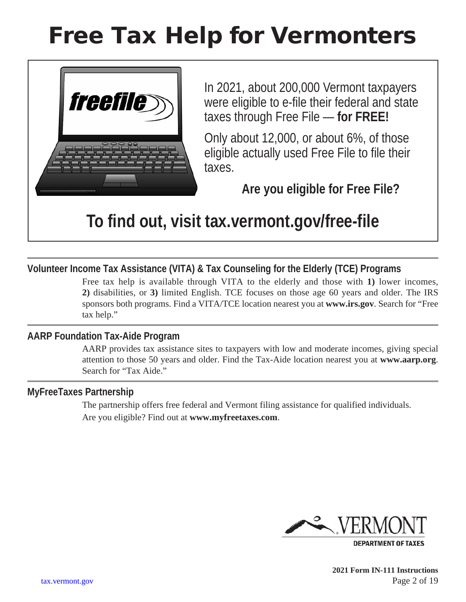# Free Tax Help for Vermonters



In 2021, about 200,000 Vermont taxpayers were eligible to e-file their federal and state taxes through Free File — **for FREE!** 

Only about 12,000, or about 6%, of those eligible actually used Free File to file their taxes.

**Are you eligible for Free File?** 

## **To find out, visit [tax.vermont.gov/free-file](http://tax.vermont.gov/free-file)**

### **Volunteer Income Tax Assistance (VITA) & Tax Counseling for the Elderly (TCE) Programs**

Free tax help is available through VITA to the elderly and those with **1)** lower incomes, **2)** disabilities, or **3)** limited English. TCE focuses on those age 60 years and older. The IRS sponsors both programs. Find a VITA/TCE location nearest you at **www.irs.gov**. Search for "Free tax help."

#### **AARP Foundation Tax-Aide Program**

AARP provides tax assistance sites to taxpayers with low and moderate incomes, giving special attention to those 50 years and older. Find the Tax-Aide location nearest you at **www.aarp.org**. Search for "Tax Aide."

#### **MyFreeTaxes Partnership**

The partnership offers free federal and Vermont filing assistance for qualified individuals. Are you eligible? Find out at **www.myfreetaxes.com**.



 **2021 Form IN-111 Instructions** [tax.vermont.gov](http://tax.vermont.gov) Page 2 of 19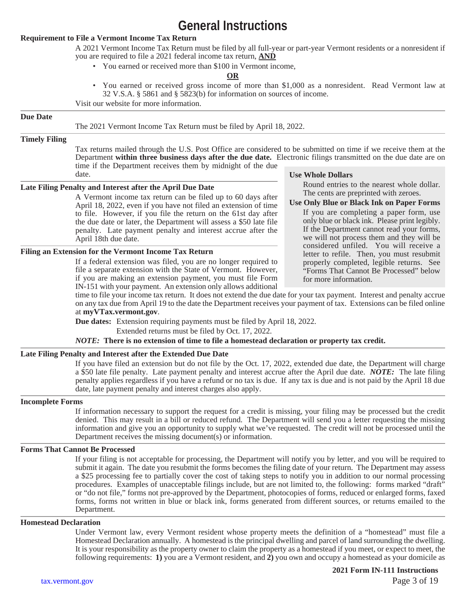### **General Instructions**

#### **Requirement to File a Vermont Income Tax Return**

A 2021 Vermont Income Tax Return must be filed by all full-year or part-year Vermont residents or a nonresident if you are required to file a 2021 federal income tax return, **AND**

• You earned or received more than \$100 in Vermont income,

#### **OR**

• You earned or received gross income of more than \$1,000 as a nonresident. Read Vermont law at 32 V.S.A. § 5861 and § 5823(b) for information on sources of income.

Visit our website for more information.

#### **Due Date**

The 2021 Vermont Income Tax Return must be filed by April 18, 2022.

#### **Timely Filing**

Tax returns mailed through the U.S. Post Office are considered to be submitted on time if we receive them at the Department **within three business days after the due date.** Electronic filings transmitted on the due date are on time if the Department receives them by midnight of the due date.

#### **Late Filing Penalty and Interest after the April Due Date**

A Vermont income tax return can be filed up to 60 days after April 18, 2022, even if you have not filed an extension of time to file. However, if you file the return on the 61st day after the due date or later, the Department will assess a \$50 late file penalty. Late payment penalty and interest accrue after the April 18th due date.

#### **Filing an Extension for the Vermont Income Tax Return**

If a federal extension was filed, you are no longer required to file a separate extension with the State of Vermont. However, if you are making an extension payment, you must file Form IN-151 with your payment. An extension only allows additional

**Use Whole Dollars**

Round entries to the nearest whole dollar. The cents are preprinted with zeroes.

**Use Only Blue or Black Ink on Paper Forms**

If you are completing a paper form, use only blue or black ink. Please print legibly. If the Department cannot read your forms, we will not process them and they will be considered unfiled. You will receive a letter to refile. Then, you must resubmit properly completed, legible returns. See "Forms That Cannot Be Processed" below for more information.

time to file your income tax return. It does not extend the due date for your tax payment. Interest and penalty accrue on any tax due from April 19 to the date the Department receives your payment of tax. Extensions can be filed online at **[myVTax.vermont.gov](http://myVTax.vermont.gov)**.

**Due dates:** Extension requiring payments must be filed by April 18, 2022.

Extended returns must be filed by Oct. 17, 2022.

*NOTE:* **There is no extension of time to file a homestead declaration or property tax credit.**

#### **Late Filing Penalty and Interest after the Extended Due Date**

If you have filed an extension but do not file by the Oct. 17, 2022, extended due date, the Department will charge a \$50 late file penalty. Late payment penalty and interest accrue after the April due date. *NOTE:* The late filing penalty applies regardless if you have a refund or no tax is due. If any tax is due and is not paid by the April 18 due date, late payment penalty and interest charges also apply.

#### **Incomplete Forms**

If information necessary to support the request for a credit is missing, your filing may be processed but the credit denied. This may result in a bill or reduced refund. The Department will send you a letter requesting the missing information and give you an opportunity to supply what we've requested. The credit will not be processed until the Department receives the missing document(s) or information.

#### **Forms That Cannot Be Processed**

If your filing is not acceptable for processing, the Department will notify you by letter, and you will be required to submit it again. The date you resubmit the forms becomes the filing date of your return. The Department may assess a \$25 processing fee to partially cover the cost of taking steps to notify you in addition to our normal processing procedures. Examples of unacceptable filings include, but are not limited to, the following: forms marked "draft" or "do not file," forms not pre-approved by the Department, photocopies of forms, reduced or enlarged forms, faxed forms, forms not written in blue or black ink, forms generated from different sources, or returns emailed to the Department.

#### **Homestead Declaration**

Under Vermont law, every Vermont resident whose property meets the definition of a "homestead" must file a Homestead Declaration annually. A homestead is the principal dwelling and parcel of land surrounding the dwelling. It is your responsibility as the property owner to claim the property as a homestead if you meet, or expect to meet, the following requirements: **1)** you are a Vermont resident, and **2)** you own and occupy a homestead as your domicile as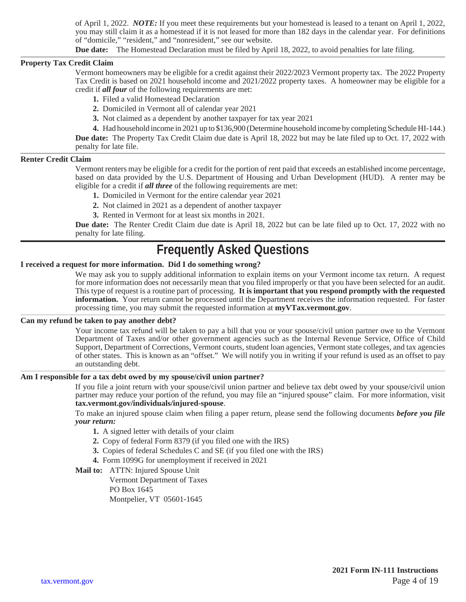of April 1, 2022. *NOTE:* If you meet these requirements but your homestead is leased to a tenant on April 1, 2022, you may still claim it as a homestead if it is not leased for more than 182 days in the calendar year. For definitions of "domicile," "resident," and "nonresident," see our website.

**Due date:** The Homestead Declaration must be filed by April 18, 2022, to avoid penalties for late filing.

#### **Property Tax Credit Claim**

Vermont homeowners may be eligible for a credit against their 2022/2023 Vermont property tax. The 2022 Property Tax Credit is based on 2021 household income and 2021/2022 property taxes. A homeowner may be eligible for a credit if *all four* of the following requirements are met:

- **1.** Filed a valid Homestead Declaration
- **2.** Domiciled in Vermont all of calendar year 2021
- **3.** Not claimed as a dependent by another taxpayer for tax year 2021

**4.** Had household income in 2021 up to \$136,900 (Determine household income by completing Schedule HI-144.) **Due date:** The Property Tax Credit Claim due date is April 18, 2022 but may be late filed up to Oct. 17, 2022 with penalty for late file.

#### **Renter Credit Claim**

Vermont renters may be eligible for a credit for the portion of rent paid that exceeds an established income percentage, based on data provided by the U.S. Department of Housing and Urban Development (HUD). A renter may be eligible for a credit if *all three* of the following requirements are met:

- **1.** Domiciled in Vermont for the entire calendar year 2021
- **2.** Not claimed in 2021 as a dependent of another taxpayer
- **3.** Rented in Vermont for at least six months in 2021.

**Due date:** The Renter Credit Claim due date is April 18, 2022 but can be late filed up to Oct. 17, 2022 with no penalty for late filing.

### **Frequently Asked Questions**

#### **I received a request for more information. Did I do something wrong?**

We may ask you to supply additional information to explain items on your Vermont income tax return. A request for more information does not necessarily mean that you filed improperly or that you have been selected for an audit. This type of request is a routine part of processing. **It is important that you respond promptly with the requested information.** Your return cannot be processed until the Department receives the information requested. For faster processing time, you may submit the requested information at **[myVTax.vermont.gov](http://myVTax.vermont.gov)**.

#### **Can my refund be taken to pay another debt?**

Your income tax refund will be taken to pay a bill that you or your spouse/civil union partner owe to the Vermont Department of Taxes and/or other government agencies such as the Internal Revenue Service, Office of Child Support, Department of Corrections, Vermont courts, student loan agencies, Vermont state colleges, and tax agencies of other states. This is known as an "offset." We will notify you in writing if your refund is used as an offset to pay an outstanding debt.

#### **Am I responsible for a tax debt owed by my spouse/civil union partner?**

If you file a joint return with your spouse/civil union partner and believe tax debt owed by your spouse/civil union partner may reduce your portion of the refund, you may file an "injured spouse" claim. For more information, visit **[tax.vermont.gov/individuals/injured-spouse](http://tax.vermont.gov/individuals/injured-spouse)**.

To make an injured spouse claim when filing a paper return, please send the following documents *before you file your return:*

- **1.** A signed letter with details of your claim
- **2.** Copy of federal Form 8379 (if you filed one with the IRS)
- **3.** Copies of federal Schedules C and SE (if you filed one with the IRS)
- **4.** Form 1099G for unemployment if received in 2021

#### **Mail to:** ATTN: Injured Spouse Unit

Vermont Department of Taxes

PO Box 1645

Montpelier, VT 05601-1645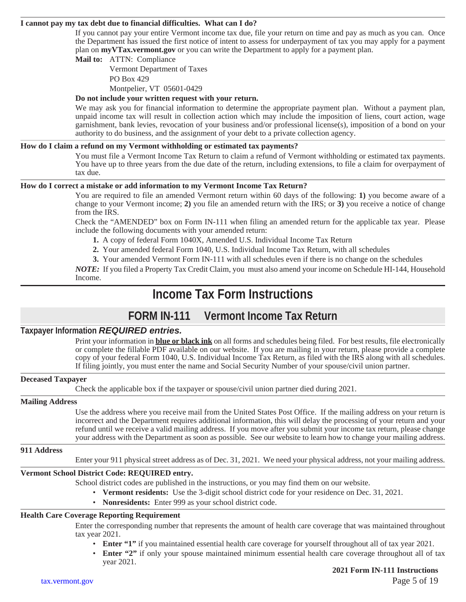#### **I cannot pay my tax debt due to financial difficulties. What can I do?**

If you cannot pay your entire Vermont income tax due, file your return on time and pay as much as you can. Once the Department has issued the first notice of intent to assess for underpayment of tax you may apply for a payment plan on **[myVTax.vermont.gov](http://myVTax.vermont.gov)** or you can write the Department to apply for a payment plan.

#### **Mail to:** ATTN: Compliance

Vermont Department of Taxes PO Box 429

Montpelier, VT 05601-0429

#### **Do not include your written request with your return.**

We may ask you for financial information to determine the appropriate payment plan. Without a payment plan, unpaid income tax will result in collection action which may include the imposition of liens, court action, wage garnishment, bank levies, revocation of your business and/or professional license(s), imposition of a bond on your authority to do business, and the assignment of your debt to a private collection agency.

#### **How do I claim a refund on my Vermont withholding or estimated tax payments?**

You must file a Vermont Income Tax Return to claim a refund of Vermont withholding or estimated tax payments. You have up to three years from the due date of the return, including extensions, to file a claim for overpayment of tax due.

#### **How do I correct a mistake or add information to my Vermont Income Tax Return?**

You are required to file an amended Vermont return within 60 days of the following: **1)** you become aware of a change to your Vermont income; **2)** you file an amended return with the IRS; or **3)** you receive a notice of change from the IRS.

Check the "AMENDED" box on Form IN-111 when filing an amended return for the applicable tax year. Please include the following documents with your amended return:

- **1.** A copy of federal Form 1040X, Amended U.S. Individual Income Tax Return
- **2.** Your amended federal Form 1040, U.S. Individual Income Tax Return, with all schedules
- **3.** Your amended Vermont Form IN-111 with all schedules even if there is no change on the schedules

*NOTE:* If you filed a Property Tax Credit Claim, you must also amend your income on Schedule HI-144, Household Income.

### **Income Tax Form Instructions**

#### **FORM IN-111 Vermont Income Tax Return**

#### **Taxpayer Information** *REQUIRED entries.*

Print your information in **blue or black ink** on all forms and schedules being filed. For best results, file electronically or complete the fillable PDF available on our website. If you are mailing in your return, please provide a complete copy of your federal Form 1040, U.S. Individual Income Tax Return, as filed with the IRS along with all schedules. If filing jointly, you must enter the name and Social Security Number of your spouse/civil union partner.

#### **Deceased Taxpayer**

Check the applicable box if the taxpayer or spouse/civil union partner died during 2021.

#### **Mailing Address**

Use the address where you receive mail from the United States Post Office. If the mailing address on your return is incorrect and the Department requires additional information, this will delay the processing of your return and your refund until we receive a valid mailing address. If you move after you submit your income tax return, please change your address with the Department as soon as possible. See our website to learn how to change your mailing address.

#### **911 Address**

Enter your 911 physical street address as of Dec. 31, 2021. We need your physical address, not your mailing address.

#### **Vermont School District Code: REQUIRED entry.**

School district codes are published in the instructions, or you may find them on our website.

- **Vermont residents:** Use the 3-digit school district code for your residence on Dec. 31, 2021.
- **Nonresidents:** Enter 999 as your school district code.

#### **Health Care Coverage Reporting Requirement**

Enter the corresponding number that represents the amount of health care coverage that was maintained throughout tax year 2021.

- **Enter "1"** if you maintained essential health care coverage for yourself throughout all of tax year 2021.
- **Enter "2"** if only your spouse maintained minimum essential health care coverage throughout all of tax year 2021.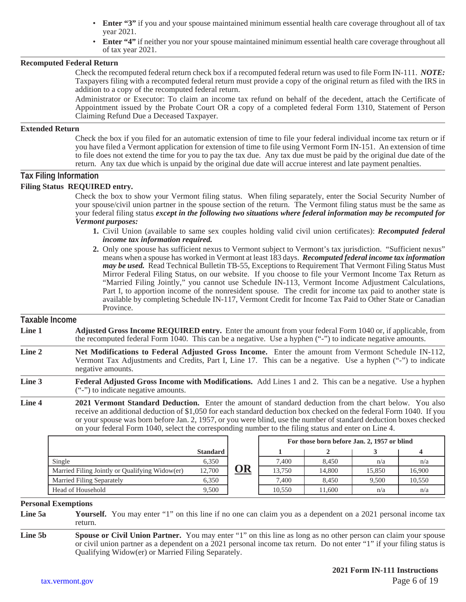- **Enter "3"** if you and your spouse maintained minimum essential health care coverage throughout all of tax year 2021.
- **Enter "4"** if neither you nor your spouse maintained minimum essential health care coverage throughout all of tax year 2021.

#### **Recomputed Federal Return**

Check the recomputed federal return check box if a recomputed federal return was used to file Form IN-111. *NOTE:*  Taxpayers filing with a recomputed federal return must provide a copy of the original return as filed with the IRS in addition to a copy of the recomputed federal return.

Administrator or Executor: To claim an income tax refund on behalf of the decedent, attach the Certificate of Appointment issued by the Probate Court OR a copy of a completed federal Form 1310, Statement of Person Claiming Refund Due a Deceased Taxpayer.

#### **Extended Return**

Check the box if you filed for an automatic extension of time to file your federal individual income tax return or if you have filed a Vermont application for extension of time to file using Vermont Form IN-151. An extension of time to file does not extend the time for you to pay the tax due. Any tax due must be paid by the original due date of the return. Any tax due which is unpaid by the original due date will accrue interest and late payment penalties.

#### **Tax Filing Information**

#### **Filing Status REQUIRED entry.**

Check the box to show your Vermont filing status. When filing separately, enter the Social Security Number of your spouse/civil union partner in the spouse section of the return. The Vermont filing status must be the same as your federal filing status *except in the following two situations where federal information may be recomputed for Vermont purposes:*

- **1.** Civil Union (available to same sex couples holding valid civil union certificates): *Recomputed federal income tax information required.*
- **2.** Only one spouse has sufficient nexus to Vermont subject to Vermont's tax jurisdiction. "Sufficient nexus" means when a spouse has worked in Vermont at least 183 days. *Recomputed federal income tax information may be used.* Read Technical Bulletin TB-55, Exceptions to Requirement That Vermont Filing Status Must Mirror Federal Filing Status, on our website. If you choose to file your Vermont Income Tax Return as "Married Filing Jointly," you cannot use Schedule IN-113, Vermont Income Adjustment Calculations, Part I, to apportion income of the nonresident spouse. The credit for income tax paid to another state is available by completing Schedule IN-117, Vermont Credit for Income Tax Paid to Other State or Canadian Province.

#### **Taxable Income Line 1 Adjusted Gross Income REQUIRED entry.** Enter the amount from your federal Form 1040 or, if applicable, from the recomputed federal Form 1040. This can be a negative. Use a hyphen ("-") to indicate negative amounts. **Line 2 Net Modifications to Federal Adjusted Gross Income.** Enter the amount from Vermont Schedule IN-112,

- Vermont Tax Adjustments and Credits, Part I, Line 17. This can be a negative. Use a hyphen ("-") to indicate negative amounts.
- **Line 3 Federal Adjusted Gross Income with Modifications.** Add Lines 1 and 2. This can be a negative. Use a hyphen ("-") to indicate negative amounts.
- **Line 4 2021 Vermont Standard Deduction.** Enter the amount of standard deduction from the chart below. You also receive an additional deduction of \$1,050 for each standard deduction box checked on the federal Form 1040. If you or your spouse was born before Jan. 2, 1957, or you were blind, use the number of standard deduction boxes checked on your federal Form 1040, select the corresponding number to the filing status and enter on Line 4.

|                                                |                 |            | For those born before Jan. 2, 1957 or blind |        |        |        |
|------------------------------------------------|-----------------|------------|---------------------------------------------|--------|--------|--------|
|                                                | <b>Standard</b> |            |                                             |        |        |        |
| Single                                         | 6,350           |            | 7.400                                       | 8.450  | n/a    | n/a    |
| Married Filing Jointly or Qualifying Widow(er) | 12,700          | <u> )R</u> | 13.750                                      | 14,800 | 15.850 | 16,900 |
| <b>Married Filing Separately</b>               | 6.350           |            | 7.400                                       | 8.450  | 9.500  | 10.550 |
| Head of Household                              | 9,500           |            | 10.550                                      | 11.600 | n/a    | n/a    |

#### **Personal Exemptions**

**Line 5a Yourself.** You may enter "1" on this line if no one can claim you as a dependent on a 2021 personal income tax return.

**Line 5b Spouse or Civil Union Partner.** You may enter "1" on this line as long as no other person can claim your spouse or civil union partner as a dependent on a 2021 personal income tax return. Do not enter "1" if your filing status is Qualifying Widow(er) or Married Filing Separately.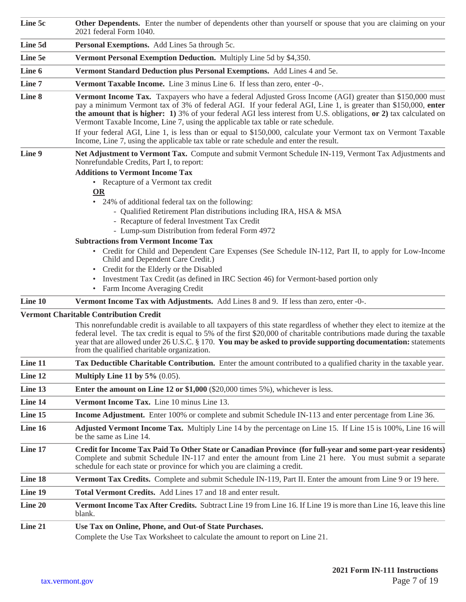| Line 5c           | Other Dependents. Enter the number of dependents other than yourself or spouse that you are claiming on your<br>2021 federal Form 1040.                                                                                                                                                                                                                                                                                                                                                                                                                                                                                                                                                                                                                                                                                                                                                                                                                                                                                                                                                                              |  |  |  |
|-------------------|----------------------------------------------------------------------------------------------------------------------------------------------------------------------------------------------------------------------------------------------------------------------------------------------------------------------------------------------------------------------------------------------------------------------------------------------------------------------------------------------------------------------------------------------------------------------------------------------------------------------------------------------------------------------------------------------------------------------------------------------------------------------------------------------------------------------------------------------------------------------------------------------------------------------------------------------------------------------------------------------------------------------------------------------------------------------------------------------------------------------|--|--|--|
| Line 5d           | Personal Exemptions. Add Lines 5a through 5c.                                                                                                                                                                                                                                                                                                                                                                                                                                                                                                                                                                                                                                                                                                                                                                                                                                                                                                                                                                                                                                                                        |  |  |  |
| Line 5e           | Vermont Personal Exemption Deduction. Multiply Line 5d by \$4,350.                                                                                                                                                                                                                                                                                                                                                                                                                                                                                                                                                                                                                                                                                                                                                                                                                                                                                                                                                                                                                                                   |  |  |  |
| Line 6            | Vermont Standard Deduction plus Personal Exemptions. Add Lines 4 and 5e.                                                                                                                                                                                                                                                                                                                                                                                                                                                                                                                                                                                                                                                                                                                                                                                                                                                                                                                                                                                                                                             |  |  |  |
| Line 7            | Vermont Taxable Income. Line 3 minus Line 6. If less than zero, enter -0-.                                                                                                                                                                                                                                                                                                                                                                                                                                                                                                                                                                                                                                                                                                                                                                                                                                                                                                                                                                                                                                           |  |  |  |
| Line 8            | Vermont Income Tax. Taxpayers who have a federal Adjusted Gross Income (AGI) greater than \$150,000 must<br>pay a minimum Vermont tax of 3% of federal AGI. If your federal AGI, Line 1, is greater than \$150,000, enter<br>the amount that is higher: 1) 3% of your federal AGI less interest from U.S. obligations, or 2) tax calculated on<br>Vermont Taxable Income, Line 7, using the applicable tax table or rate schedule.                                                                                                                                                                                                                                                                                                                                                                                                                                                                                                                                                                                                                                                                                   |  |  |  |
|                   | If your federal AGI, Line 1, is less than or equal to \$150,000, calculate your Vermont tax on Vermont Taxable<br>Income, Line 7, using the applicable tax table or rate schedule and enter the result.                                                                                                                                                                                                                                                                                                                                                                                                                                                                                                                                                                                                                                                                                                                                                                                                                                                                                                              |  |  |  |
| Line 9<br>Line 10 | Net Adjustment to Vermont Tax. Compute and submit Vermont Schedule IN-119, Vermont Tax Adjustments and<br>Nonrefundable Credits, Part I, to report:<br><b>Additions to Vermont Income Tax</b><br>• Recapture of a Vermont tax credit<br>OR<br>• 24% of additional federal tax on the following:<br>- Qualified Retirement Plan distributions including IRA, HSA & MSA<br>- Recapture of federal Investment Tax Credit<br>- Lump-sum Distribution from federal Form 4972<br><b>Subtractions from Vermont Income Tax</b><br>• Credit for Child and Dependent Care Expenses (See Schedule IN-112, Part II, to apply for Low-Income<br>Child and Dependent Care Credit.)<br>• Credit for the Elderly or the Disabled<br>Investment Tax Credit (as defined in IRC Section 46) for Vermont-based portion only<br>٠<br>• Farm Income Averaging Credit<br>Vermont Income Tax with Adjustments. Add Lines 8 and 9. If less than zero, enter -0-.<br><b>Vermont Charitable Contribution Credit</b><br>This nonrefundable credit is available to all taxpayers of this state regardless of whether they elect to itemize at the |  |  |  |
|                   | federal level. The tax credit is equal to 5% of the first \$20,000 of charitable contributions made during the taxable<br>year that are allowed under 26 U.S.C. § 170. You may be asked to provide supporting documentation: statements<br>from the qualified charitable organization.                                                                                                                                                                                                                                                                                                                                                                                                                                                                                                                                                                                                                                                                                                                                                                                                                               |  |  |  |
| Line 11           | Tax Deductible Charitable Contribution. Enter the amount contributed to a qualified charity in the taxable year.                                                                                                                                                                                                                                                                                                                                                                                                                                                                                                                                                                                                                                                                                                                                                                                                                                                                                                                                                                                                     |  |  |  |
| Line 12           | Multiply Line 11 by $5\%$ (0.05).                                                                                                                                                                                                                                                                                                                                                                                                                                                                                                                                                                                                                                                                                                                                                                                                                                                                                                                                                                                                                                                                                    |  |  |  |
| Line 13           | <b>Enter the amount on Line 12 or \$1,000</b> (\$20,000 times 5%), whichever is less.                                                                                                                                                                                                                                                                                                                                                                                                                                                                                                                                                                                                                                                                                                                                                                                                                                                                                                                                                                                                                                |  |  |  |
| Line 14           | Vermont Income Tax. Line 10 minus Line 13.                                                                                                                                                                                                                                                                                                                                                                                                                                                                                                                                                                                                                                                                                                                                                                                                                                                                                                                                                                                                                                                                           |  |  |  |
| Line 15           | Income Adjustment. Enter 100% or complete and submit Schedule IN-113 and enter percentage from Line 36.                                                                                                                                                                                                                                                                                                                                                                                                                                                                                                                                                                                                                                                                                                                                                                                                                                                                                                                                                                                                              |  |  |  |
| Line 16           | Adjusted Vermont Income Tax. Multiply Line 14 by the percentage on Line 15. If Line 15 is 100%, Line 16 will<br>be the same as Line 14.                                                                                                                                                                                                                                                                                                                                                                                                                                                                                                                                                                                                                                                                                                                                                                                                                                                                                                                                                                              |  |  |  |
| Line 17           | Credit for Income Tax Paid To Other State or Canadian Province (for full-year and some part-year residents)<br>Complete and submit Schedule IN-117 and enter the amount from Line 21 here. You must submit a separate<br>schedule for each state or province for which you are claiming a credit.                                                                                                                                                                                                                                                                                                                                                                                                                                                                                                                                                                                                                                                                                                                                                                                                                    |  |  |  |
| Line 18           | Vermont Tax Credits. Complete and submit Schedule IN-119, Part II. Enter the amount from Line 9 or 19 here.                                                                                                                                                                                                                                                                                                                                                                                                                                                                                                                                                                                                                                                                                                                                                                                                                                                                                                                                                                                                          |  |  |  |
| Line 19           | Total Vermont Credits. Add Lines 17 and 18 and enter result.                                                                                                                                                                                                                                                                                                                                                                                                                                                                                                                                                                                                                                                                                                                                                                                                                                                                                                                                                                                                                                                         |  |  |  |
| Line 20           | Vermont Income Tax After Credits. Subtract Line 19 from Line 16. If Line 19 is more than Line 16, leave this line<br>blank.                                                                                                                                                                                                                                                                                                                                                                                                                                                                                                                                                                                                                                                                                                                                                                                                                                                                                                                                                                                          |  |  |  |
| Line 21           | Use Tax on Online, Phone, and Out-of State Purchases.<br>Complete the Use Tax Worksheet to calculate the amount to report on Line 21.                                                                                                                                                                                                                                                                                                                                                                                                                                                                                                                                                                                                                                                                                                                                                                                                                                                                                                                                                                                |  |  |  |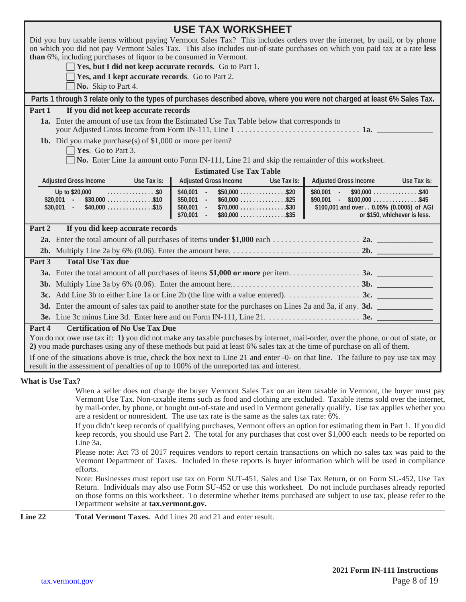|                                                                                                                                                                                                                                                              | <b>USE TAX WORKSHEET</b>                                                                                                         |                                                                                                                                                                                                                                                                                                                                                                                                                                                                                                                                                                                                         |  |  |  |
|--------------------------------------------------------------------------------------------------------------------------------------------------------------------------------------------------------------------------------------------------------------|----------------------------------------------------------------------------------------------------------------------------------|---------------------------------------------------------------------------------------------------------------------------------------------------------------------------------------------------------------------------------------------------------------------------------------------------------------------------------------------------------------------------------------------------------------------------------------------------------------------------------------------------------------------------------------------------------------------------------------------------------|--|--|--|
| Did you buy taxable items without paying Vermont Sales Tax? This includes orders over the internet, by mail, or by phone                                                                                                                                     |                                                                                                                                  |                                                                                                                                                                                                                                                                                                                                                                                                                                                                                                                                                                                                         |  |  |  |
| on which you did not pay Vermont Sales Tax. This also includes out-of-state purchases on which you paid tax at a rate less<br>than 6%, including purchases of liquor to be consumed in Vermont.                                                              |                                                                                                                                  |                                                                                                                                                                                                                                                                                                                                                                                                                                                                                                                                                                                                         |  |  |  |
| $\Box$ Yes, but I did not keep accurate records. Go to Part 1.                                                                                                                                                                                               |                                                                                                                                  |                                                                                                                                                                                                                                                                                                                                                                                                                                                                                                                                                                                                         |  |  |  |
| Yes, and I kept accurate records. Go to Part 2.                                                                                                                                                                                                              |                                                                                                                                  |                                                                                                                                                                                                                                                                                                                                                                                                                                                                                                                                                                                                         |  |  |  |
| No. Skip to Part 4.                                                                                                                                                                                                                                          |                                                                                                                                  |                                                                                                                                                                                                                                                                                                                                                                                                                                                                                                                                                                                                         |  |  |  |
| Parts 1 through 3 relate only to the types of purchases described above, where you were not charged at least 6% Sales Tax.                                                                                                                                   |                                                                                                                                  |                                                                                                                                                                                                                                                                                                                                                                                                                                                                                                                                                                                                         |  |  |  |
| If you did not keep accurate records<br>Part 1                                                                                                                                                                                                               |                                                                                                                                  |                                                                                                                                                                                                                                                                                                                                                                                                                                                                                                                                                                                                         |  |  |  |
|                                                                                                                                                                                                                                                              | 1a. Enter the amount of use tax from the Estimated Use Tax Table below that corresponds to                                       |                                                                                                                                                                                                                                                                                                                                                                                                                                                                                                                                                                                                         |  |  |  |
| <b>1b.</b> Did you make purchase(s) of $$1,000$ or more per item?                                                                                                                                                                                            |                                                                                                                                  |                                                                                                                                                                                                                                                                                                                                                                                                                                                                                                                                                                                                         |  |  |  |
| $\Box$ Yes. Go to Part 3.                                                                                                                                                                                                                                    |                                                                                                                                  |                                                                                                                                                                                                                                                                                                                                                                                                                                                                                                                                                                                                         |  |  |  |
|                                                                                                                                                                                                                                                              | $\Box$ No. Enter Line 1a amount onto Form IN-111, Line 21 and skip the remainder of this worksheet.                              |                                                                                                                                                                                                                                                                                                                                                                                                                                                                                                                                                                                                         |  |  |  |
|                                                                                                                                                                                                                                                              | <b>Estimated Use Tax Table</b>                                                                                                   |                                                                                                                                                                                                                                                                                                                                                                                                                                                                                                                                                                                                         |  |  |  |
| <b>Adjusted Gross Income</b><br>Use Tax is:                                                                                                                                                                                                                  | <b>Adjusted Gross Income</b><br>Use Tax is:                                                                                      | <b>Adjusted Gross Income</b><br>Use Tax is:                                                                                                                                                                                                                                                                                                                                                                                                                                                                                                                                                             |  |  |  |
| Up to \$20,000<br>. \$0<br>$$20,001$ -<br>$$30,000$ \$10<br>$$30,001$ - $$40,000$ \$15                                                                                                                                                                       | $$50,000$ \$20<br>$$40,001 -$<br>$$50,001 -$<br>$$60,000$ \$25<br>$$70,000$ \$30<br>$$60,001$ -<br>$$70,001$ -<br>$$80,000$ \$35 | $$80,001$ -<br>$$90,000$ \$40<br>$$90,001$ - \$100,000 \$45<br>\$100,001 and over 0.05% (0.0005) of AGI<br>or \$150, whichever is less.                                                                                                                                                                                                                                                                                                                                                                                                                                                                 |  |  |  |
| If you did keep accurate records<br>Part 2                                                                                                                                                                                                                   |                                                                                                                                  |                                                                                                                                                                                                                                                                                                                                                                                                                                                                                                                                                                                                         |  |  |  |
|                                                                                                                                                                                                                                                              |                                                                                                                                  |                                                                                                                                                                                                                                                                                                                                                                                                                                                                                                                                                                                                         |  |  |  |
|                                                                                                                                                                                                                                                              |                                                                                                                                  |                                                                                                                                                                                                                                                                                                                                                                                                                                                                                                                                                                                                         |  |  |  |
| <b>Total Use Tax due</b><br>Part $3$                                                                                                                                                                                                                         |                                                                                                                                  |                                                                                                                                                                                                                                                                                                                                                                                                                                                                                                                                                                                                         |  |  |  |
|                                                                                                                                                                                                                                                              |                                                                                                                                  |                                                                                                                                                                                                                                                                                                                                                                                                                                                                                                                                                                                                         |  |  |  |
|                                                                                                                                                                                                                                                              |                                                                                                                                  |                                                                                                                                                                                                                                                                                                                                                                                                                                                                                                                                                                                                         |  |  |  |
|                                                                                                                                                                                                                                                              |                                                                                                                                  |                                                                                                                                                                                                                                                                                                                                                                                                                                                                                                                                                                                                         |  |  |  |
|                                                                                                                                                                                                                                                              | 3d. Enter the amount of sales tax paid to another state for the purchases on Lines 2a and 3a, if any. 3d.                        |                                                                                                                                                                                                                                                                                                                                                                                                                                                                                                                                                                                                         |  |  |  |
|                                                                                                                                                                                                                                                              |                                                                                                                                  |                                                                                                                                                                                                                                                                                                                                                                                                                                                                                                                                                                                                         |  |  |  |
| <b>Certification of No Use Tax Due</b><br>Part 4                                                                                                                                                                                                             |                                                                                                                                  |                                                                                                                                                                                                                                                                                                                                                                                                                                                                                                                                                                                                         |  |  |  |
| You do not owe use tax if: 1) you did not make any taxable purchases by internet, mail-order, over the phone, or out of state, or<br>2) you made purchases using any of these methods but paid at least 6% sales tax at the time of purchase on all of them. |                                                                                                                                  |                                                                                                                                                                                                                                                                                                                                                                                                                                                                                                                                                                                                         |  |  |  |
| If one of the situations above is true, check the box next to Line 21 and enter -0- on that line. The failure to pay use tax may                                                                                                                             |                                                                                                                                  |                                                                                                                                                                                                                                                                                                                                                                                                                                                                                                                                                                                                         |  |  |  |
| result in the assessment of penalties of up to 100% of the unreported tax and interest.                                                                                                                                                                      |                                                                                                                                  |                                                                                                                                                                                                                                                                                                                                                                                                                                                                                                                                                                                                         |  |  |  |
| <b>What is Use Tax?</b>                                                                                                                                                                                                                                      |                                                                                                                                  |                                                                                                                                                                                                                                                                                                                                                                                                                                                                                                                                                                                                         |  |  |  |
|                                                                                                                                                                                                                                                              | are a resident or nonresident. The use tax rate is the same as the sales tax rate: 6%.                                           | When a seller does not charge the buyer Vermont Sales Tax on an item taxable in Vermont, the buyer must pay<br>Vermont Use Tax. Non-taxable items such as food and clothing are excluded. Taxable items sold over the internet,<br>by mail-order, by phone, or bought out-of-state and used in Vermont generally qualify. Use tax applies whether you<br>If you didn't keep records of qualifying purchases, Vermont offers an option for estimating them in Part 1. If you did<br>keep records, you should use Part 2. The total for any purchases that cost over \$1,000 each needs to be reported on |  |  |  |
| Line 3a.                                                                                                                                                                                                                                                     |                                                                                                                                  |                                                                                                                                                                                                                                                                                                                                                                                                                                                                                                                                                                                                         |  |  |  |

Please note: Act 73 of 2017 requires vendors to report certain transactions on which no sales tax was paid to the Vermont Department of Taxes. Included in these reports is buyer information which will be used in compliance efforts.

Note: Businesses must report use tax on Form SUT-451, Sales and Use Tax Return, or on Form SU-452, Use Tax Return. Individuals may also use Form SU-452 or use this worksheet. Do not include purchases already reported on those forms on this worksheet. To determine whether items purchased are subject to use tax, please refer to the Department website at **[tax.vermont.gov.](http://tax.vermont.gov)**

**Line 22 Total Vermont Taxes.** Add Lines 20 and 21 and enter result.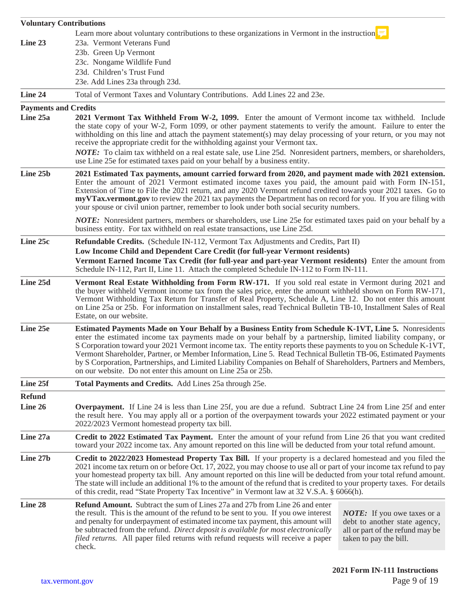| <b>Voluntary Contributions</b>          |                                                                                                                                                                                                                                                                                                                                                                                                                                                                                                                                                                                                                                              |  |  |  |
|-----------------------------------------|----------------------------------------------------------------------------------------------------------------------------------------------------------------------------------------------------------------------------------------------------------------------------------------------------------------------------------------------------------------------------------------------------------------------------------------------------------------------------------------------------------------------------------------------------------------------------------------------------------------------------------------------|--|--|--|
|                                         | Learn more about voluntary contributions to these organizations in Vermont in the instruction $\frac{1}{x}$                                                                                                                                                                                                                                                                                                                                                                                                                                                                                                                                  |  |  |  |
| Line 23                                 | 23a. Vermont Veterans Fund                                                                                                                                                                                                                                                                                                                                                                                                                                                                                                                                                                                                                   |  |  |  |
|                                         | 23b. Green Up Vermont                                                                                                                                                                                                                                                                                                                                                                                                                                                                                                                                                                                                                        |  |  |  |
|                                         | 23c. Nongame Wildlife Fund<br>23d. Children's Trust Fund                                                                                                                                                                                                                                                                                                                                                                                                                                                                                                                                                                                     |  |  |  |
|                                         | 23e. Add Lines 23a through 23d.                                                                                                                                                                                                                                                                                                                                                                                                                                                                                                                                                                                                              |  |  |  |
| Line 24                                 | Total of Vermont Taxes and Voluntary Contributions. Add Lines 22 and 23e.                                                                                                                                                                                                                                                                                                                                                                                                                                                                                                                                                                    |  |  |  |
|                                         |                                                                                                                                                                                                                                                                                                                                                                                                                                                                                                                                                                                                                                              |  |  |  |
| <b>Payments and Credits</b><br>Line 25a | 2021 Vermont Tax Withheld From W-2, 1099. Enter the amount of Vermont income tax withheld. Include                                                                                                                                                                                                                                                                                                                                                                                                                                                                                                                                           |  |  |  |
|                                         | the state copy of your W-2, Form 1099, or other payment statements to verify the amount. Failure to enter the<br>withholding on this line and attach the payment statement(s) may delay processing of your return, or you may not<br>receive the appropriate credit for the withholding against your Vermont tax.                                                                                                                                                                                                                                                                                                                            |  |  |  |
|                                         | NOTE: To claim tax withheld on a real estate sale, use Line 25d. Nonresident partners, members, or shareholders,<br>use Line 25e for estimated taxes paid on your behalf by a business entity.                                                                                                                                                                                                                                                                                                                                                                                                                                               |  |  |  |
| Line 25b                                | 2021 Estimated Tax payments, amount carried forward from 2020, and payment made with 2021 extension.<br>Enter the amount of 2021 Vermont estimated income taxes you paid, the amount paid with Form IN-151,<br>Extension of Time to File the 2021 return, and any 2020 Vermont refund credited towards your 2021 taxes. Go to<br>myVTax.vermont.gov to review the 2021 tax payments the Department has on record for you. If you are filing with<br>your spouse or civil union partner, remember to look under both social security numbers.                                                                                                 |  |  |  |
|                                         | <b>NOTE:</b> Nonresident partners, members or shareholders, use Line 25e for estimated taxes paid on your behalf by a<br>business entity. For tax withheld on real estate transactions, use Line 25d.                                                                                                                                                                                                                                                                                                                                                                                                                                        |  |  |  |
| Line 25c                                | <b>Refundable Credits.</b> (Schedule IN-112, Vermont Tax Adjustments and Credits, Part II)                                                                                                                                                                                                                                                                                                                                                                                                                                                                                                                                                   |  |  |  |
|                                         | Low Income Child and Dependent Care Credit (for full-year Vermont residents)                                                                                                                                                                                                                                                                                                                                                                                                                                                                                                                                                                 |  |  |  |
|                                         | Vermont Earned Income Tax Credit (for full-year and part-year Vermont residents) Enter the amount from<br>Schedule IN-112, Part II, Line 11. Attach the completed Schedule IN-112 to Form IN-111.                                                                                                                                                                                                                                                                                                                                                                                                                                            |  |  |  |
| Line 25d                                | Vermont Real Estate Withholding from Form RW-171. If you sold real estate in Vermont during 2021 and<br>the buyer withheld Vermont income tax from the sales price, enter the amount withheld shown on Form RW-171,<br>Vermont Withholding Tax Return for Transfer of Real Property, Schedule A, Line 12. Do not enter this amount<br>on Line 25a or 25b. For information on installment sales, read Technical Bulletin TB-10, Installment Sales of Real<br>Estate, on our website.                                                                                                                                                          |  |  |  |
| Line 25e                                | Estimated Payments Made on Your Behalf by a Business Entity from Schedule K-1VT, Line 5. Nonresidents<br>enter the estimated income tax payments made on your behalf by a partnership, limited liability company, or<br>S Corporation toward your 2021 Vermont income tax. The entity reports these payments to you on Schedule K-1VT,<br>Vermont Shareholder, Partner, or Member Information, Line 5. Read Technical Bulletin TB-06, Estimated Payments<br>by S Corporation, Partnerships, and Limited Liability Companies on Behalf of Shareholders, Partners and Members,<br>on our website. Do not enter this amount on Line 25a or 25b. |  |  |  |
| Line 25f                                | Total Payments and Credits. Add Lines 25a through 25e.                                                                                                                                                                                                                                                                                                                                                                                                                                                                                                                                                                                       |  |  |  |
| <b>Refund</b>                           |                                                                                                                                                                                                                                                                                                                                                                                                                                                                                                                                                                                                                                              |  |  |  |
| Line 26                                 | <b>Overpayment.</b> If Line 24 is less than Line 25f, you are due a refund. Subtract Line 24 from Line 25f and enter<br>the result here. You may apply all or a portion of the overpayment towards your 2022 estimated payment or your<br>2022/2023 Vermont homestead property tax bill.                                                                                                                                                                                                                                                                                                                                                     |  |  |  |
| Line 27a                                | Credit to 2022 Estimated Tax Payment. Enter the amount of your refund from Line 26 that you want credited<br>toward your 2022 income tax. Any amount reported on this line will be deducted from your total refund amount.                                                                                                                                                                                                                                                                                                                                                                                                                   |  |  |  |
| Line 27b                                | Credit to 2022/2023 Homestead Property Tax Bill. If your property is a declared homestead and you filed the<br>2021 income tax return on or before Oct. 17, 2022, you may choose to use all or part of your income tax refund to pay<br>your homestead property tax bill. Any amount reported on this line will be deducted from your total refund amount.<br>The state will include an additional 1% to the amount of the refund that is credited to your property taxes. For details<br>of this credit, read "State Property Tax Incentive" in Vermont law at 32 V.S.A. § 6066(h).                                                         |  |  |  |
| Line 28                                 | <b>Refund Amount.</b> Subtract the sum of Lines 27a and 27b from Line 26 and enter<br>the result. This is the amount of the refund to be sent to you. If you owe interest<br><b>NOTE:</b> If you owe taxes or a<br>and penalty for underpayment of estimated income tax payment, this amount will<br>debt to another state agency,<br>be subtracted from the refund. Direct deposit is available for most electronically<br>all or part of the refund may be<br><i>filed returns.</i> All paper filed returns with refund requests will receive a paper<br>taken to pay the bill.<br>check.                                                  |  |  |  |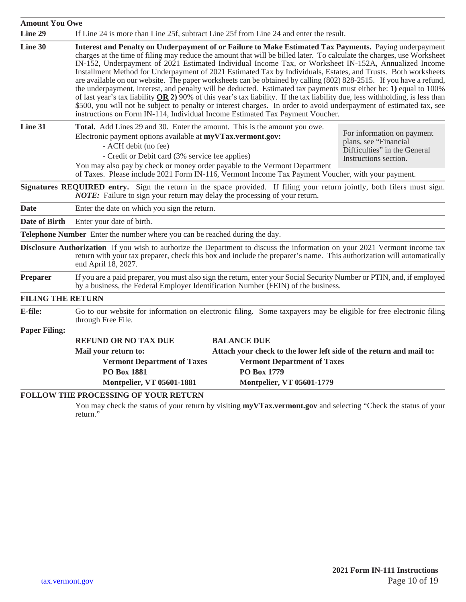| <b>Amount You Owe</b>    |                                                                                                                                                                                                                                                                                                                                                                                                                                                                                                                                                                                                                                                                                                                                                                                                                                                                                                                                                                                                                                                    |                                                                                                              |
|--------------------------|----------------------------------------------------------------------------------------------------------------------------------------------------------------------------------------------------------------------------------------------------------------------------------------------------------------------------------------------------------------------------------------------------------------------------------------------------------------------------------------------------------------------------------------------------------------------------------------------------------------------------------------------------------------------------------------------------------------------------------------------------------------------------------------------------------------------------------------------------------------------------------------------------------------------------------------------------------------------------------------------------------------------------------------------------|--------------------------------------------------------------------------------------------------------------|
| Line 29                  | If Line 24 is more than Line 25f, subtract Line 25f from Line 24 and enter the result.                                                                                                                                                                                                                                                                                                                                                                                                                                                                                                                                                                                                                                                                                                                                                                                                                                                                                                                                                             |                                                                                                              |
| Line 30                  | Interest and Penalty on Underpayment of or Failure to Make Estimated Tax Payments. Paying underpayment<br>charges at the time of filing may reduce the amount that will be billed later. To calculate the charges, use Worksheet<br>IN-152, Underpayment of 2021 Estimated Individual Income Tax, or Worksheet IN-152A, Annualized Income<br>Installment Method for Underpayment of 2021 Estimated Tax by Individuals, Estates, and Trusts. Both worksheets<br>are available on our website. The paper worksheets can be obtained by calling (802) 828-2515. If you have a refund,<br>the underpayment, interest, and penalty will be deducted. Estimated tax payments must either be: 1) equal to 100%<br>of last year's tax liability $OR$ 2) 90% of this year's tax liability. If the tax liability due, less withholding, is less than<br>\$500, you will not be subject to penalty or interest charges. In order to avoid underpayment of estimated tax, see<br>instructions on Form IN-114, Individual Income Estimated Tax Payment Voucher. |                                                                                                              |
| Line 31                  | Total. Add Lines 29 and 30. Enter the amount. This is the amount you owe.<br>Electronic payment options available at myVTax.vermont.gov:<br>- ACH debit (no fee)<br>- Credit or Debit card (3% service fee applies)<br>You may also pay by check or money order payable to the Vermont Department<br>of Taxes. Please include 2021 Form IN-116, Vermont Income Tax Payment Voucher, with your payment.                                                                                                                                                                                                                                                                                                                                                                                                                                                                                                                                                                                                                                             | For information on payment<br>plans, see "Financial<br>Difficulties" in the General<br>Instructions section. |
|                          | Signatures REQUIRED entry. Sign the return in the space provided. If filing your return jointly, both filers must sign.<br><b>NOTE:</b> Failure to sign your return may delay the processing of your return.                                                                                                                                                                                                                                                                                                                                                                                                                                                                                                                                                                                                                                                                                                                                                                                                                                       |                                                                                                              |
| <b>Date</b>              | Enter the date on which you sign the return.                                                                                                                                                                                                                                                                                                                                                                                                                                                                                                                                                                                                                                                                                                                                                                                                                                                                                                                                                                                                       |                                                                                                              |
| <b>Date of Birth</b>     | Enter your date of birth.                                                                                                                                                                                                                                                                                                                                                                                                                                                                                                                                                                                                                                                                                                                                                                                                                                                                                                                                                                                                                          |                                                                                                              |
|                          | <b>Telephone Number</b> Enter the number where you can be reached during the day.                                                                                                                                                                                                                                                                                                                                                                                                                                                                                                                                                                                                                                                                                                                                                                                                                                                                                                                                                                  |                                                                                                              |
|                          | <b>Disclosure Authorization</b> If you wish to authorize the Department to discuss the information on your 2021 Vermont income tax<br>return with your tax preparer, check this box and include the preparer's name. This authorization will automatically<br>end April 18, 2027.                                                                                                                                                                                                                                                                                                                                                                                                                                                                                                                                                                                                                                                                                                                                                                  |                                                                                                              |
| <b>Preparer</b>          | If you are a paid preparer, you must also sign the return, enter your Social Security Number or PTIN, and, if employed<br>by a business, the Federal Employer Identification Number (FEIN) of the business.                                                                                                                                                                                                                                                                                                                                                                                                                                                                                                                                                                                                                                                                                                                                                                                                                                        |                                                                                                              |
| <b>FILING THE RETURN</b> |                                                                                                                                                                                                                                                                                                                                                                                                                                                                                                                                                                                                                                                                                                                                                                                                                                                                                                                                                                                                                                                    |                                                                                                              |
| E-file:                  | Go to our website for information on electronic filing. Some taxpayers may be eligible for free electronic filing<br>through Free File.                                                                                                                                                                                                                                                                                                                                                                                                                                                                                                                                                                                                                                                                                                                                                                                                                                                                                                            |                                                                                                              |
| <b>Paper Filing:</b>     |                                                                                                                                                                                                                                                                                                                                                                                                                                                                                                                                                                                                                                                                                                                                                                                                                                                                                                                                                                                                                                                    |                                                                                                              |
|                          | <b>REFUND OR NO TAX DUE</b><br><b>BALANCE DUE</b>                                                                                                                                                                                                                                                                                                                                                                                                                                                                                                                                                                                                                                                                                                                                                                                                                                                                                                                                                                                                  |                                                                                                              |
|                          | Mail your return to:<br>Attach your check to the lower left side of the return and mail to:                                                                                                                                                                                                                                                                                                                                                                                                                                                                                                                                                                                                                                                                                                                                                                                                                                                                                                                                                        |                                                                                                              |
|                          | <b>Vermont Department of Taxes</b><br><b>Vermont Department of Taxes</b>                                                                                                                                                                                                                                                                                                                                                                                                                                                                                                                                                                                                                                                                                                                                                                                                                                                                                                                                                                           |                                                                                                              |
|                          | PO Box 1779<br><b>PO Box 1881</b>                                                                                                                                                                                                                                                                                                                                                                                                                                                                                                                                                                                                                                                                                                                                                                                                                                                                                                                                                                                                                  |                                                                                                              |
|                          | <b>Montpelier, VT 05601-1779</b><br><b>Montpelier, VT 05601-1881</b>                                                                                                                                                                                                                                                                                                                                                                                                                                                                                                                                                                                                                                                                                                                                                                                                                                                                                                                                                                               |                                                                                                              |
|                          | <b>FOLLOW THE PROCESSING OF YOUR RETURN</b><br>Vou moy ghogle the status of your rature by vigiting my VToy you not goy and solecting "Cheek the status of you                                                                                                                                                                                                                                                                                                                                                                                                                                                                                                                                                                                                                                                                                                                                                                                                                                                                                     |                                                                                                              |

You may check the status of your return by visiting **[myVTax.vermont.gov](http://myVTax.vermont.gov)** and selecting "Check the status of your return."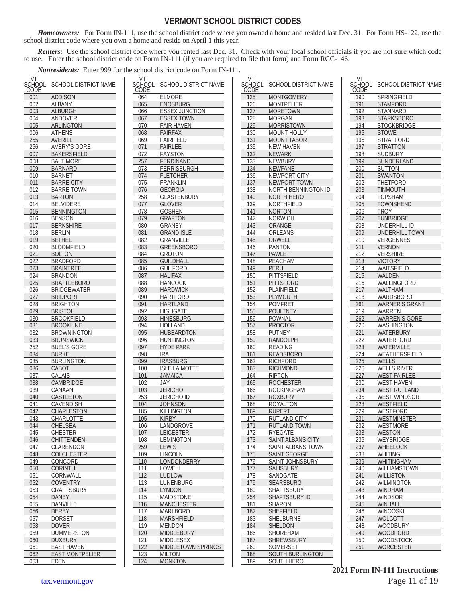#### **VERMONT SCHOOL DISTRICT CODES**

*Homeowners:* For Form IN-111, use the school district code where you owned a home and resided last Dec. 31. For Form HS-122, use the school district code where you own a home and reside on April 1 this year.

*Renters:* Use the school district code where you rented last Dec. 31. Check with your local school officials if you are not sure which code to use. Enter the school district code on Form IN-111 (if you are required to file that form) and Form RCC-146.

*Nonresidents:* Enter 999 for the school district code on Form IN-111.

| VT<br>SCHOOL<br><u>CODE</u> | SCHOOL DISTRICT NAME   |
|-----------------------------|------------------------|
| 001                         | <b>ADDISON</b>         |
| 002                         | ALBANY                 |
| 003                         | ALBURGH                |
| 004                         | ANDOVER                |
| 005                         | <b>ARLINGTON</b>       |
| 006                         | ATHENS                 |
| 255                         | <b>AVERILL</b>         |
| 256                         | <b>AVERY'S GORE</b>    |
| 007                         | <b>BAKERSFIELD</b>     |
| 008                         | <b>BALTIMORE</b>       |
| 009                         | <b>BARNARD</b>         |
| 010                         | <b>BARNET</b>          |
| 011                         | <b>BARRE CITY</b>      |
| 012                         | BARRE TOWN             |
| 013                         | BARTON                 |
|                             | <b>BELVIDERE</b>       |
| 014                         |                        |
| 015                         | <b>BENNINGTON</b>      |
| 016                         | BENSON                 |
| 017                         | <b>BERKSHIRE</b>       |
| 018                         | BERLIN                 |
| 019                         | <b>BETHEL</b>          |
| 020                         | <b>BLOOMFIELD</b>      |
| 021                         | <b>BOLTON</b>          |
| 022                         | BRADFORD               |
| 023                         | BRAINTREE              |
| 024                         | BRANDON                |
| 025                         | BRATTLEBORO            |
| 026                         | BRIDGEWATER            |
| 027                         | <b>BRIDPORT</b>        |
| 028                         | <b>BRIGHTON</b>        |
| 029                         | BRISTOL                |
| 030                         | BROOKFIELD             |
| 031                         | BROOKLINE              |
| 032                         | BROWNINGTON            |
| 033                         | <b>BRUNSWICK</b>       |
| 252                         | <b>BUEL'S GORE</b>     |
| 034                         | <b>BURKE</b>           |
|                             | BURLINGTON             |
| 035                         |                        |
| 036                         | CABOT                  |
| 037                         | CALAIS                 |
| 038                         | CAMBRIDGE              |
| 039                         | CANAAN                 |
| 040                         | CASTLETON              |
| 041                         | CAVENDISH              |
| 042                         | CHARLESTON             |
| U43                         | <u>CHARLOTTE</u>       |
| 044                         | CHELSEA                |
| 045                         | <b>CHESTER</b>         |
| 046                         | CHITTENDEN             |
| 047                         | CLARENDON              |
| 048                         | <b>COLCHESTER</b>      |
| 049                         | CONCORD                |
| 050                         | <b>CORINTH</b>         |
| 051                         | CORNWALL               |
| 052                         | COVENTRY               |
| 053                         | CRAFTSBURY             |
| 054                         | DANBY                  |
| 055                         | DANVILLE               |
| 056                         | DERBY                  |
| 057                         | DORSET                 |
| 058                         | <b>DOVER</b>           |
|                             | <b>DUMMERSTON</b>      |
| 059                         |                        |
| 060                         | <b>DUXBURY</b>         |
| 061                         | <b>EAST HAVEN</b>      |
| 062                         | <b>EAST MONTPELIER</b> |
| 063                         | EDEN                   |

| VT<br>SCHOOL<br>CODE | SCHOOL DISTRICT NAME       |
|----------------------|----------------------------|
| 064                  | <b>ELMORE</b>              |
| 065                  | <b>ENOSBURG</b>            |
| 066                  | <b>ESSEX JUNCTION</b>      |
| 067                  | <b>ESSEX TOWN</b>          |
| 070                  | <b>FAIR HAVEN</b>          |
| 068                  | FAIRFAX                    |
|                      | <b>FAIRFIELD</b>           |
| 069                  |                            |
| 071                  | <b>FAIRLEE</b>             |
| 072                  | <b>FAYSTON</b>             |
| 257                  | FERDINAND                  |
| 073                  | FERRISBURGH                |
| 074                  | <b>FLETCHER</b>            |
| 075                  | <b>FRANKLIN</b>            |
| 076                  | GEORGIA                    |
| 258                  | <b>GLASTENBURY</b>         |
| 077                  | GLOVER                     |
| 078                  | <b>GOSHEN</b>              |
| 079                  | <b>GRAFTON</b>             |
| 080                  | GRANBY                     |
| 081                  | <b>GRAND ISLE</b>          |
| 082                  | <b>GRANVILLE</b>           |
| 083                  | <b>GREENSBORO</b>          |
| 084                  | GROTON                     |
| 085                  | <b>GUILDHALL</b>           |
|                      |                            |
| 086                  | GUILFORD<br><b>HALIFAX</b> |
| 087                  |                            |
| 088                  | <b>HANCOCK</b>             |
| 089                  | <b>HARDWICK</b>            |
| 090                  | HARTFORD                   |
| 091                  | <b>HARTLAND</b>            |
| 092                  | HIGHGATE                   |
| 093                  | <b>HINESBURG</b>           |
| 094                  | HOLLAND                    |
| 095                  | <b>HUBBARDTON</b>          |
| 096                  | HUNTINGTON                 |
| 097                  | <b>HYDE PARK</b>           |
| 098                  | IRA                        |
| 099                  | IRASBURG                   |
| 100                  | ISLE LA MOTTE              |
| 101                  | JAMAICA                    |
| 102                  | JAY                        |
| 103                  | <u>JERICHO</u>             |
| 253                  | JERICHO ID                 |
| 104                  | JOHNSON                    |
| 185                  | KILLINGTON                 |
| 105                  | <u>KIRBY</u>               |
| 106                  | LANDGROVE                  |
| 107                  | <b>LEICESTER</b>           |
| 10 <sub>8</sub>      | LEMINGTON                  |
| 259                  | LEWIS                      |
| 109                  | LINCOLN                    |
| 110                  | LONDONDERRY                |
| 111                  | LOWELL                     |
| 112                  | LUDLOW                     |
| 113                  | LUNENBURG                  |
| 114                  | LYNDON                     |
| 115                  | MAIDSTONE                  |
| 116                  | <u>MANCHESTER</u>          |
| 117                  | MARLBORO                   |
| 118                  | MARSHFIELD                 |
| 119                  | MENDON                     |
| 120                  | MIDDLEBURY                 |
| <u>121</u>           | <u>MIDDLESEX</u>           |
| $\overline{122}$     | MIDDLETOWN SPRINGS         |
| 123                  | MILTON                     |
| 124                  | MONKTON                    |

| VT<br>SCHOOL     |                              |
|------------------|------------------------------|
| <b>CODE</b>      | SCHOOL DISTRICT NAME         |
| $\overline{125}$ | <b>MONTGOMERY</b>            |
| 126              | MONTPELIER                   |
| 127              | MORETOWN                     |
| 128              | MORGAN                       |
| 129              | MORRISTOWN                   |
| 130              | MOUNT HOLLY                  |
| 131              | <b>MOUNT TABOR</b>           |
| 135<br>132       | NEW HAVEN<br><b>NEWARK</b>   |
| 133              | NEWBURY                      |
| 134              | <b>NEWFANE</b>               |
| 136              | NEWPORT CITY                 |
| 137              | <b>NEWPORT TOWN</b>          |
| 138              | NORTH BENNINGTON ID          |
| 140              | NORTH HERO                   |
| 139              | NORTHFIELD                   |
| 141              | NORTON                       |
| 142<br>143       | <b>NORWICH</b><br>ORANGE     |
| 144              | ORLEANS                      |
| 145              | ORWELL                       |
| 146              | <b>PANTON</b>                |
| 147              | <b>PAWLET</b>                |
| 148              | PEACHAM                      |
| 149              | PERU                         |
| 150              | <b>PITTSFIELD</b>            |
| 151              | PITTSFORD                    |
| 152              | PLAINFIELD                   |
| 153              | PLYMOUTH                     |
| 154              | <b>POMFRET</b>               |
| 155<br>156       | POULTNEY<br>POWNAL           |
| 157              | <b>PROCTOR</b>               |
| 158              | <b>PUTNEY</b>                |
| 159              | RANDOLPH                     |
| 160              | READING                      |
| 161              | <b>READSBORO</b>             |
| 162              | <b>RICHFORD</b>              |
| 163              | RICHMOND                     |
| 164              | <b>RIPTON</b>                |
| 165              | <b>ROCHESTER</b>             |
| 166<br>167       | ROCKINGHAM<br><b>ROXBURY</b> |
| 168              | ROYALTON                     |
| 169              | <b>RUPERT</b>                |
| <u>170</u>       | RUTLAND CITY                 |
| 171              | <b>RUTLAND TOWN</b>          |
| <u>172</u>       | RYEGATE                      |
| 173              | SAINT ALBANS CITY            |
| 174              | SAINT ALBANS TOWN            |
| 175              | <b>SAINT GEORGE</b>          |
| 176              | <b>SAINT JOHNSBURY</b>       |
| 177<br>178       | <b>SALISBURY</b><br>SANDGATE |
| 179              | <b>SEARSBURG</b>             |
| 180              | SHAFTSBURY                   |
| 254              | <b>SHAFTSBURY ID</b>         |
| 181              | SHARON                       |
| 182              | SHEFFIELD                    |
| 183              | SHELBURNE                    |
| 184              | SHELDON                      |
| 186              | SHOREHAM                     |
| 187              | <b>SHREWSBURY</b>            |
| 260              | SOMERSET                     |
| 188              | SOUTH BURLINGTON             |
| 189              | SOUTH HERO                   |

| VT                         |                                |
|----------------------------|--------------------------------|
| :HOOL<br>SC<br><b>CODE</b> | <b>SCHOOL DISTRICT NAME</b>    |
| 190                        | <b>SPRINGFIELD</b>             |
| 191                        | STAMFORD                       |
| 192                        | STANNARD                       |
| 193                        | <b>STARKSBORO</b>              |
| 194                        | STOCKBRIDGE                    |
| 195                        | STOWE                          |
| 196                        | STRAFFORD                      |
| 197                        | STRATTON                       |
| 198                        | SUDBURY                        |
| 199                        | SUNDERLAND                     |
| 200<br>201                 | SUTTON<br>SWANTON              |
| 202                        | THETFORD                       |
| 203                        | TINMOUTH                       |
| 204                        | TOPSHAM                        |
| 205                        | TOWNSHEND                      |
| 206                        | TROY                           |
| 207                        | TUNBRIDGE                      |
| 208                        | UNDERHILL ID                   |
| 209                        | UNDERHILL TOWN                 |
| 210                        | VERGENNES                      |
| 211                        | <b>VERNON</b>                  |
| 212                        | Vershire<br><b>VICTORY</b>     |
| 213<br>214                 | WAITSFIELD                     |
| 215                        | WALDEN                         |
| 216                        | WALLINGFORD                    |
| 217                        | WALTHAM                        |
| 218                        | WARDSBORO                      |
| 261                        | <b>WARNER'S GRANT</b>          |
| 219                        | WARREN                         |
| 262                        | <b>WARREN'S GORE</b>           |
| 220                        | WASHINGTON                     |
| 221                        | WATERBURY                      |
| 222<br>223                 | WATERFORD<br>WATERVILLE        |
| 224                        | WEATHERSFIELD                  |
| 225                        | WELLS                          |
| <u>226</u>                 | WELLS RIVER                    |
| 227                        | <b>WEST FAIRLEE</b>            |
| 230                        | <b>WEST</b><br>HAVEN           |
| 234                        | <b>WEST</b><br>RUTLAND         |
| 235                        | <b>WEST WINDSOR</b>            |
| 228                        | WESTFIELD                      |
| 229<br>231                 | WESTFORD<br><b>WESTMINSTER</b> |
| 232                        | WESTMORE                       |
| 233                        | <b>WESTON</b>                  |
| 236                        | WEYBRIDGE                      |
| 237                        | WHEELOCK                       |
| 238                        | WHITING                        |
| 239                        | <b>WHITINGHAM</b>              |
| 240                        | WILLIAMSTOWN                   |
| 241                        | <b>WILLISTON</b>               |
| 242                        | WILMINGTON                     |
| 243                        | WINDHAM                        |
| 244<br>245                 | WINDSOR<br><b>WINHALL</b>      |
| 246                        | WINOOSKI                       |
| 247                        | WOLCOTT                        |
| 248                        | WOODBURY                       |
| 249                        | <b>WOODFORD</b>                |
| 250                        | <b>WOODSTOCK</b>               |
| 251                        | <b>WORCESTER</b>               |
|                            |                                |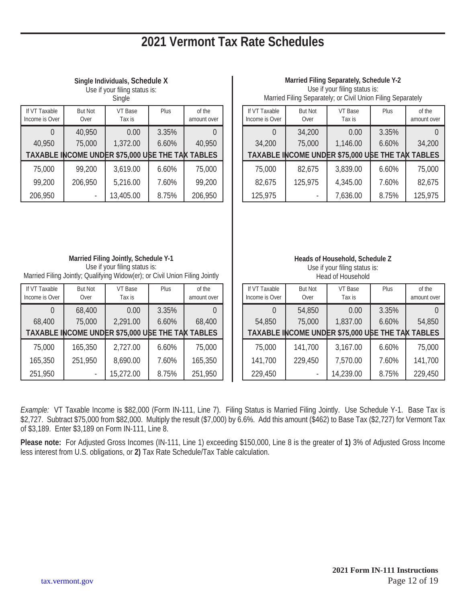### **2021 Vermont Tax Rate Schedules**

| Single Individuals, Schedule X |
|--------------------------------|
| .ما میبامام ممثله سیمیر از ممل |

Use if your filing status is: Single

| Single                          |                        |                                                  |       |                       |  |  |
|---------------------------------|------------------------|--------------------------------------------------|-------|-----------------------|--|--|
| If VT Taxable<br>Income is Over | <b>But Not</b><br>Over | VT Base<br>Tax is                                | Plus  | of the<br>amount over |  |  |
|                                 | 40,950                 | 0.00                                             | 3.35% |                       |  |  |
| 40,950                          | 75,000                 | 1,372.00                                         | 6.60% | 40,950                |  |  |
|                                 |                        | TAXABLE INCOME UNDER \$75,000 USE THE TAN TABLES |       |                       |  |  |
| 75,000                          | 99,200                 | 3,619.00                                         | 6.60% | 75,000                |  |  |
| 99,200                          | 206,950                | 5,216.00                                         | 7.60% | 99,200                |  |  |
| 206,950                         |                        | 13,405.00                                        | 8.75% | 206,950               |  |  |

#### **Married Filing Separately, Schedule Y-2**

Use if your filing status is: Married Filing Separately; or Civil Union Filing Separately

| If VT Taxable<br>Income is Over | <b>But Not</b><br>Over | VT Base<br>Tax is                                | Plus  | of the<br>amount over |
|---------------------------------|------------------------|--------------------------------------------------|-------|-----------------------|
|                                 | 34,200                 | 0.00                                             | 3.35% |                       |
| 34,200                          | 75,000                 | 1,146.00                                         | 6.60% | 34,200                |
|                                 |                        | TAXABLE INCOME UNDER \$75,000 USE THE TAN TABLES |       |                       |
| 75,000                          | 82,675                 | 3,839.00                                         | 6.60% | 75,000                |
| 82,675                          | 125,975                | 4,345.00                                         | 7.60% | 82,675                |
| 125,975                         |                        | 7,636.00                                         | 8.75% | 125,975               |

**Married Filing Jointly, Schedule Y-1** Use if your filing status is: Married Filing Jointly; Qualifying Widow(er); or Civil Union Filing Jointly

| If VT Taxable<br>Income is Over | <b>But Not</b><br>Over | VT Base<br>Tax is                                | Plus  | of the<br>amount over |
|---------------------------------|------------------------|--------------------------------------------------|-------|-----------------------|
|                                 | 68,400                 | 0.00                                             | 3.35% |                       |
| 68,400                          | 75,000                 | 2,291.00                                         | 6.60% | 68,400                |
|                                 |                        | TAXABLE INCOME UNDER \$75,000 USE THE TAX TABLES |       |                       |
| 75,000                          | 165,350                | 2,727.00                                         | 6.60% | 75,000                |
| 165,350                         | 251,950                | 8,690.00                                         | 7.60% | 165,350               |
| 251,950                         |                        | 15,272.00                                        | 8.75% | 251,950               |

**Heads of Household, Schedule Z** Use if your filing status is:

| If VT Taxable<br>Income is Over | <b>But Not</b><br>Over | VT Base<br>Tax is                                | Plus  | of the<br>amount over |
|---------------------------------|------------------------|--------------------------------------------------|-------|-----------------------|
|                                 | 54,850                 | 0.00                                             | 3.35% |                       |
| 54,850                          | 75,000                 | 1,837.00                                         | 6.60% | 54,850                |
|                                 |                        | TAXABLE INCOME UNDER \$75,000 USE THE TAN TABLES |       |                       |
| 75,000                          | 141,700                | 3,167.00                                         | 6.60% | 75,000                |
| 141,700                         | 229,450                | 7,570.00                                         | 7.60% | 141,700               |
| 229,450                         |                        | 14,239.00                                        | 8.75% | 229,450               |

*Example:*VT Taxable Income is \$82,000 (Form IN-111, Line 7). Filing Status is Married Filing Jointly. Use Schedule Y-1. Base Tax is \$2,727. Subtract \$75,000 from \$82,000. Multiply the result (\$7,000) by 6.6%. Add this amount (\$462) to Base Tax (\$2,727) for Vermont Tax of \$3,189. Enter \$3,189 on Form IN-111, Line 8.

**Please note:** For Adjusted Gross Incomes (IN-111, Line 1) exceeding \$150,000, Line 8 is the greater of **1)** 3% of Adjusted Gross Income less interest from U.S. obligations, or **2)** Tax Rate Schedule/Tax Table calculation.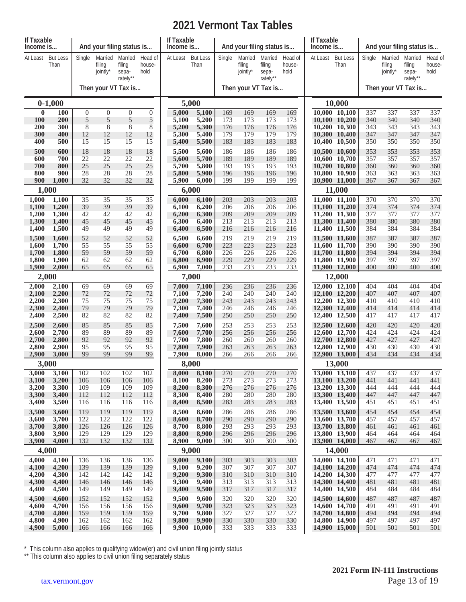### **2021 Vermont Tax Tables**

| If Taxable<br>Income is |                         |                       |                               | And your filing status is              |                           | If Taxable<br>Income is |                         | And your filing status is |                               |                                        | If Taxable<br>Income is   |          | And your filing status is      |            |                               |                                        |                           |
|-------------------------|-------------------------|-----------------------|-------------------------------|----------------------------------------|---------------------------|-------------------------|-------------------------|---------------------------|-------------------------------|----------------------------------------|---------------------------|----------|--------------------------------|------------|-------------------------------|----------------------------------------|---------------------------|
| At Least                | <b>But Less</b><br>Than | Single                | Married<br>filing<br>jointly* | Married<br>filing<br>sepa-<br>rately** | Head of<br>house-<br>hold | At Least                | <b>But Less</b><br>Than | Single                    | Married<br>filing<br>jointly* | Married<br>filing<br>sepa-<br>rately** | Head of<br>house-<br>hold | At Least | <b>But Less</b><br>Than        | Single     | Married<br>filing<br>jointly* | Married<br>filing<br>sepa-<br>rately** | Head of<br>house-<br>hold |
|                         |                         |                       |                               | Then your VT Tax is                    |                           |                         |                         |                           | Then your VT Tax is           |                                        |                           |          |                                |            | Then your VT Tax is           |                                        |                           |
|                         | $0-1,000$               |                       |                               |                                        |                           | 5,000                   |                         |                           |                               |                                        |                           |          | 10,000                         |            |                               |                                        |                           |
| $\bf{0}$<br><b>100</b>  | 100<br>200              | $\boldsymbol{0}$<br>5 | $\boldsymbol{0}$<br>5         | $\overline{0}$<br>5                    | $\mathbf{0}$<br>5         | 5,000<br>5,100          | 5,100<br>5,200          | 169<br>173                | 169<br>173                    | 169<br>173                             | 169<br>173                |          | 10,000 10,100<br>10,100 10,200 | 337<br>340 | 337<br>340                    | 337<br>340                             | 337<br>340                |
| <b>200</b>              | 300                     | 8                     | $\,8\,$                       | $\,8$                                  | 8                         | 5,200                   | 5,300                   | 176                       | 176                           | 176                                    | 176                       |          | 10,200 10,300                  | 343        | 343                           | 343                                    | 343                       |
| 300<br>400              | 400<br>500              | 12<br>15              | 12<br>15                      | 12<br>15                               | 12<br>15                  | 5,300<br>5,400          | 5,400<br>5,500          | 179<br>183                | 179<br>183                    | 179<br>183                             | 179<br>183                | 10,400   | 10,300 10,400<br>10,500        | 347<br>350 | 347<br>350                    | 347<br>350                             | 347<br>350                |
| 500                     | 600                     | 18                    | 18                            | 18                                     | 18                        | 5,500                   | 5,600                   | 186                       | 186                           | 186                                    | 186                       |          | 10,500 10,600                  | 353        | 353                           | 353                                    | 353                       |
| 600<br>700              | 700<br>800              | 22<br>25              | 22<br>25                      | 22<br>25                               | 22<br>25                  | 5,600<br>5,700          | 5,700<br>5,800          | 189<br>193                | 189<br>193                    | 189<br>193                             | 189<br>193                | 10,700   | 10,600 10,700<br>10,800        | 357<br>360 | 357<br>360                    | 357<br>360                             | 357<br>360                |
| 800                     | 900                     | 28                    | 28                            | 28                                     | 28                        | 5,800                   | 5,900                   | 196                       | 196                           | 196                                    | 196                       | 10,800   | 10,900                         | 363        | 363                           | 363                                    | 363                       |
| 900                     | 1,000<br>1,000          | 32                    | 32                            | 32                                     | 32                        | 5,900<br>6,000          | 6,000                   | 199                       | 199                           | 199                                    | 199                       |          | 10,900 11,000<br>11,000        | 367        | 367                           | 367                                    | 367                       |
| 1,000                   | 1,100                   | 35                    | 35                            | 35                                     | 35                        | 6,000                   | 6,100                   | 203                       | 203                           | 203                                    | 203                       |          | 11,000 11,100                  | 370        | 370                           | 370                                    | 370                       |
| 1,100                   | 1,200                   | 39                    | 39<br>42                      | 39<br>42                               | 39                        | 6,100                   | 6,200                   | 206                       | 206<br>209                    | 206<br>209                             | 206<br>209                |          | 11,100 11,200                  | 374<br>377 | 374<br>377                    | 374<br>377                             | 374<br>377                |
| 1,200<br>1,300          | 1,300<br>1,400          | 42<br>45              | 45                            | 45                                     | 42<br>45                  | 6,200<br>6,300          | 6,300<br>6,400          | 209<br>213                | 213                           | 213                                    | 213                       |          | 11,200 11,300<br>11,300 11,400 | 380        | 380                           | 380                                    | 380                       |
| 1,400                   | 1,500                   | 49                    | 49                            | 49                                     | 49                        | 6,400                   | 6,500                   | 216                       | 216                           | 216                                    | 216                       |          | 11,400 11,500                  | 384        | 384                           | 384                                    | 384                       |
| 1,500<br>1,600          | 1,600<br>1,700          | 52<br>55              | 52<br>55                      | 52<br>55                               | 52<br>55                  | 6,500<br>6,600          | 6,600<br>6,700          | 219<br>223                | 219<br>223                    | 219<br>223                             | 219<br>223                |          | 11,500 11,600<br>11,600 11,700 | 387<br>390 | 387<br>390                    | 387<br>390                             | 387<br>390                |
| 1,700                   | 1,800                   | 59                    | 59                            | 59                                     | 59                        | 6,700                   | 6,800                   | 226                       | 226                           | 226                                    | 226                       |          | 11,700 11,800                  | 394        | 394                           | 394                                    | 394                       |
| 1,800<br>1,900          | 1,900<br>2,000          | 62<br>65              | 62<br>65                      | 62<br>65                               | 62<br>65                  | 6,800<br>6,900          | 6,900<br>7,000          | 229<br>233                | 229<br>233                    | 229<br>233                             | 229<br>233                |          | 11,800 11,900<br>11,900 12,000 | 397<br>400 | 397<br>400                    | 397<br>400                             | 397<br>400                |
|                         | 2,000                   |                       |                               |                                        |                           | 7,000                   |                         |                           |                               |                                        |                           |          | 12,000                         |            |                               |                                        |                           |
| 2,000                   | 2,100                   | 69<br>72              | 69<br>72                      | 69                                     | 69                        | 7,000                   | 7,100                   | 236<br>240                | 236<br>240                    | 236<br>240                             | 236<br>240                |          | 12,000 12,100                  | 404<br>407 | 404<br>407                    | 404<br>407                             | 404                       |
| 2,100<br>2,200          | 2,200<br>2,300          | 75                    | 75                            | 72<br>75                               | 72<br>75                  | 7,100<br>7,200          | 7,200<br>7,300          | 243                       | 243                           | 243                                    | 243                       |          | 12,100 12,200<br>12,200 12,300 | 410        | 410                           | 410                                    | 407<br>410                |
| 2,300<br>2,400          | 2,400<br>2,500          | 79<br>82              | 79<br>82                      | 79<br>82                               | 79<br>82                  | 7,300<br>7,400          | 7,400<br>7,500          | 246<br>250                | 246<br>250                    | 246<br>250                             | 246<br>250                |          | 12,300 12,400<br>12,400 12,500 | 414<br>417 | 414<br>417                    | 414<br>417                             | 414<br>417                |
| 2,500                   | 2,600                   | 85                    | 85                            | 85                                     | 85                        | 7,500                   | 7,600                   | 253                       | 253                           | 253                                    | 253                       |          | 12,500 12,600                  | 420        | 420                           | 420                                    | 420                       |
| 2,600                   | 2,700                   | 89                    | 89                            | 89                                     | 89                        | 7,600                   | 7,700                   | 256                       | 256                           | 256                                    | 256                       |          | 12.600 12.700                  | 424        | 424                           | 424                                    | 424                       |
| 2,700<br>2,800          | 2,800<br>2,900          | 92<br>95              | 92<br>95                      | 92<br>95                               | 92<br>95                  | 7,700<br>7,800          | 7,800<br>7,900          | 260<br>263                | 260<br>263                    | 260<br>263                             | 260<br>263                |          | 12,700 12,800<br>12,800 12,900 | 427<br>430 | 427<br>430                    | 427<br>430                             | 427<br>430                |
| 2,900                   | 3,000                   | 99                    | 99                            | 99                                     | 99                        | 7,900                   | 8,000                   | 266                       | 266                           | 266                                    | 266                       |          | 12,900 13,000                  | 434        | 434                           | 434                                    | 434                       |
|                         | 3,000                   |                       |                               |                                        |                           | 8,000                   |                         |                           |                               |                                        |                           |          | 13,000                         |            |                               |                                        |                           |
| 3,000<br>3,100          | 3,100<br>3,200          | 102<br>106            | 102<br>106                    | 102<br>106                             | 102<br>106                | 8,000<br>8,100          | 8,100<br>8,200          | 270<br>273                | 270<br>273                    | 270<br>273                             | 270<br>273                |          | 13,000 13,100<br>13,100 13,200 | 437<br>441 | 437<br>441                    | 437<br>441                             | 437<br>441                |
| 3,200<br>3,300          | 3,300<br>3,400          | 109<br>112            | 109<br>112                    | 109<br>112                             | 109<br>112                | 8,200<br>8,300          | 8,300<br>8,400          | 276<br>280                | 276<br>280                    | 276<br>280                             | 276<br>280                |          | 13,200 13,300<br>13,300 13,400 | 444<br>447 | 444<br>447                    | 444<br>447                             | 444<br>447                |
| 3,400                   | 3,500                   | 116                   | 116                           | 116                                    | 116                       | 8,400                   | 8,500                   | 283                       | 283                           | 283                                    | 283                       |          | 13,400 13,500                  | 451        | 451                           | 451                                    | 451                       |
| 3,500                   | 3,600                   | 119                   | 119                           | 119                                    | 119                       | 8,500                   | 8,600                   | 286                       | 286                           | 286                                    | 286                       |          | 13,500 13,600                  | 454        | 454                           | 454                                    | 454                       |
| 3,600<br>3,700          | 3,700<br>3,800          | 122<br>126            | 122<br>126                    | 122<br>126                             | 122<br>126                | 8,600<br>8,700          | 8,700<br>8,800          | 290<br>293                | 290<br>293                    | 290<br>293                             | 290<br>293                |          | 13,600 13,700<br>13,700 13,800 | 457<br>461 | 457<br>461                    | 457<br>461                             | 457<br>461                |
| 3,800                   | 3,900                   | 129                   | 129                           | 129                                    | 129                       | 8,800                   | 8,900                   | 296                       | 296                           | 296                                    | 296                       |          | 13,800 13,900                  | 464        | 464                           | 464                                    | 464                       |
| 3,900                   | 4,000<br>4,000          | 132                   | 132                           | 132                                    | 132                       | 8,900<br>9,000          | 9,000                   | 300                       | 300                           | 300                                    | 300                       |          | 13,900 14,000<br>14,000        | 467        | 467                           | 467                                    | 467                       |
| 4,000                   | 4,100                   | 136                   | 136                           | 136                                    | 136                       | 9,000                   | 9,100                   | 303                       | 303                           | 303                                    | 303                       |          | 14,000 14,100                  | 471        | 471                           | 471                                    | 471                       |
| 4,100<br>4,200          | 4,200<br>4,300          | 139<br>142            | 139<br>142                    | 139<br>142                             | 139<br>142                | 9,100<br>9,200          | 9,200<br>9,300          | 307<br>310                | 307<br>310                    | 307<br>310                             | 307<br>310                |          | 14,100 14,200<br>14,200 14,300 | 474<br>477 | 474<br>477                    | 474<br>477                             | 474<br>477                |
| 4,300                   | 4,400                   | 146                   | 146                           | 146                                    | 146                       | 9,300                   | 9,400                   | 313                       | 313                           | 313                                    | 313                       |          | 14,300 14,400                  | 481        | 481                           | 481                                    | 481                       |
| 4,400                   | 4,500                   | 149                   | 149                           | 149                                    | 149                       | 9,400                   | 9,500                   | 317                       | 317                           | 317                                    | 317                       |          | 14,400 14,500                  | 484        | 484                           | 484                                    | 484                       |
| 4,500<br>4,600          | 4,600<br>4,700          | 152<br>156            | 152<br>156                    | 152<br>156                             | 152<br>156                | 9,500<br>9,600          | 9,600<br>9,700          | 320<br>323                | 320<br>323                    | 320<br>323                             | 320<br>323                |          | 14,500 14,600<br>14,600 14,700 | 487<br>491 | 487<br>491                    | 487<br>491                             | 487<br>491                |
| 4,700                   | 4,800                   | 159                   | 159                           | 159                                    | 159                       | 9,700                   | 9,800                   | 327                       | 327                           | 327                                    | 327                       |          | 14,700 14,800                  | 494        | 494                           | 494                                    | 494                       |
| 4,800<br>4,900          | 4,900<br>5,000          | 162<br>166            | 162<br>166                    | 162<br>166                             | 162<br>166                | 9,800<br>9,900          | 9,900<br>10,000         | 330<br>333                | 330<br>333                    | 330<br>333                             | 330<br>333                |          | 14,800 14,900<br>14,900 15,000 | 497<br>501 | 497<br>501                    | 497<br>501                             | 497<br>501                |
|                         |                         |                       |                               |                                        |                           |                         |                         |                           |                               |                                        |                           |          |                                |            |                               |                                        |                           |

\* This column also applies to qualifying widow(er) and civil union filing jointly status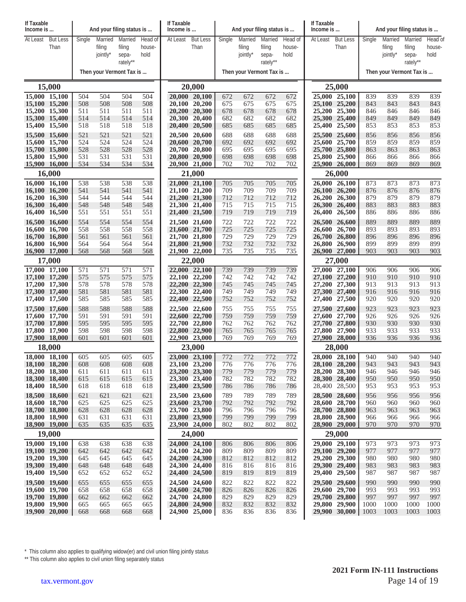| If Taxable<br>Income is        |                 |            |                    | And your filing status is |                | If Taxable<br>Income is |                                |            |                    | And your filing status is |                | If Taxable<br>Income is |                                |            | And your filing status is |                 |                |
|--------------------------------|-----------------|------------|--------------------|---------------------------|----------------|-------------------------|--------------------------------|------------|--------------------|---------------------------|----------------|-------------------------|--------------------------------|------------|---------------------------|-----------------|----------------|
| At Least                       | <b>But Less</b> | Single     | Married            | Married                   | Head of        | At Least                | <b>But Less</b>                | Single     | Married            | Married                   | Head of        | At Least                | <b>But Less</b>                | Single     | Married                   | Married         | Head of        |
|                                | Than            |            | filing<br>jointly* | filing<br>sepa-           | house-<br>hold |                         | Than                           |            | filing<br>jointly* | filing<br>sepa-           | house-<br>hold |                         | Than                           |            | filing<br>jointly*        | filing<br>sepa- | house-<br>hold |
|                                |                 |            |                    | rately**                  |                |                         |                                |            |                    | rately**                  |                |                         |                                |            |                           | rately**        |                |
|                                |                 |            |                    | Then your Vermont Tax is  |                |                         |                                |            |                    | Then your Vermont Tax is  |                |                         |                                |            | Then your Vermont Tax is  |                 |                |
|                                | 15,000          |            |                    |                           |                |                         | 20,000                         |            |                    |                           |                |                         | 25,000                         |            |                           |                 |                |
| 15,000 15,100                  |                 | 504        | 504                | 504                       | 504            |                         | 20,000 20,100                  | 672        | 672                | 672                       | 672            |                         | 25,000 25,100                  | 839        | 839                       | 839             | 839            |
| 15,100 15,200<br>15,200 15,300 |                 | 508<br>511 | 508<br>511         | 508<br>511                | 508<br>511     |                         | 20,100 20,200<br>20,200 20,300 | 675<br>678 | 675<br>678         | 675<br>678                | 675<br>678     |                         | 25,100 25,200<br>25,200 25,300 | 843<br>846 | 843<br>846                | 843<br>846      | 843<br>846     |
| 15,300 15,400                  |                 | 514        | 514                | 514                       | 514            |                         | 20,300 20,400                  | 682        | 682                | 682                       | 682            |                         | 25,300 25,400                  | 849        | 849                       | 849             | 849            |
| 15,400 15,500                  |                 | 518        | 518                | 518                       | 518            |                         | 20,400 20,500                  | 685        | 685                | 685                       | 685            |                         | 25,400 25,500                  | 853        | 853                       | 853             | 853            |
| 15,500 15,600<br>15,600 15,700 |                 | 521<br>524 | 521<br>524         | 521<br>524                | 521<br>524     |                         | 20,500 20,600<br>20,600 20,700 | 688<br>692 | 688<br>692         | 688<br>692                | 688<br>692     |                         | 25,500 25,600<br>25,600 25,700 | 856<br>859 | 856<br>859                | 856<br>859      | 856<br>859     |
| 15,700 15,800                  |                 | 528        | 528                | 528                       | 528            |                         | 20,700 20,800                  | 695        | 695                | 695                       | 695            |                         | 25,700 25,800                  | 863        | 863                       | 863             | 863            |
| 15,800 15,900                  |                 | 531        | 531                | 531                       | 531            |                         | 20,800 20,900                  | 698        | 698                | 698                       | 698            |                         | 25,800 25,900                  | 866        | 866                       | 866             | 866            |
| 15,900 16,000                  |                 | 534        | 534                | 534                       | 534            |                         | 20,900 21,000                  | 702        | 702                | 702                       | 702            |                         | 25,900 26,000                  | 869        | 869                       | 869             | 869            |
| 16,000 16,100                  | 16,000          | 538        | 538                | 538                       | 538            |                         | 21,000<br>21,000 21,100        | 705        | 705                | 705                       | 705            |                         | 26,000<br>26,000 26,100        | 873        | 873                       | 873             | 873            |
| 16,100 16,200                  |                 | 541        | 541                | 541                       | 541            |                         | 21,100 21,200                  | 709        | 709                | 709                       | 709            |                         | 26,100 26,200                  | 876        | 876                       | 876             | 876            |
| 16,200 16,300                  |                 | 544        | 544                | 544                       | 544            |                         | 21,200 21,300                  | 712        | 712                | 712                       | 712            |                         | 26,200 26,300                  | 879        | 879                       | 879             | 879            |
| 16,300 16,400<br>16,400 16,500 |                 | 548<br>551 | 548<br>551         | 548<br>551                | 548<br>551     |                         | 21,300 21,400<br>21,400 21,500 | 715<br>719 | 715<br>719         | 715<br>719                | 715<br>719     |                         | 26,300 26,400<br>26,400 26,500 | 883<br>886 | 883<br>886                | 883<br>886      | 883<br>886     |
| 16,500 16,600                  |                 | 554        | 554                | 554                       | 554            |                         | 21,500 21,600                  | 722        | 722                | 722                       | 722            |                         | 26,500 26,600                  | 889        | 889                       | 889             | 889            |
| 16,600 16,700                  |                 | 558        | 558                | 558                       | 558            |                         | 21,600 21,700                  | 725        | 725                | 725                       | 725            | 26,600                  | 26,700                         | 893        | 893                       | 893             | 893            |
| 16,700 16,800<br>16,800 16,900 |                 | 561<br>564 | 561<br>564         | 561<br>564                | 561<br>564     |                         | 21,700 21,800<br>21,800 21,900 | 729<br>732 | 729<br>732         | 729<br>732                | 729<br>732     | 26,800                  | 26,700 26,800<br>26,900        | 896<br>899 | 896<br>899                | 896<br>899      | 896<br>899     |
| 16,900 17,000                  |                 | 568        | 568                | 568                       | 568            |                         | 21,900 22,000                  | 735        | 735                | 735                       | 735            |                         | 26,900 27,000                  | 903        | 903                       | 903             | 903            |
|                                | 17,000          |            |                    |                           |                |                         | 22,000                         |            |                    |                           |                |                         | 27,000                         |            |                           |                 |                |
| 17,000 17,100                  |                 | 571        | 571                | 571                       | 571            |                         | 22,000 22,100                  | 739        | 739                | 739                       | 739            |                         | 27,000 27,100                  | 906        | 906                       | 906             | 906            |
| 17,100 17,200<br>17,200 17,300 |                 | 575<br>578 | 575<br>578         | 575<br>578                | 575<br>578     |                         | 22,100 22,200<br>22,200 22,300 | 742<br>745 | 742<br>745         | 742<br>745                | 742<br>745     |                         | 27,100 27,200<br>27,200 27,300 | 910<br>913 | 910<br>913                | 910<br>913      | 910<br>913     |
| 17,300 17,400                  |                 | 581        | 581                | 581                       | 581            |                         | 22,300 22,400                  | 749        | 749                | 749                       | 749            |                         | 27,300 27,400                  | 916        | 916                       | 916             | 916            |
| 17,400 17,500                  |                 | 585        | 585                | 585                       | 585            |                         | 22,400 22,500                  | 752        | 752                | 752                       | 752            |                         | 27,400 27,500                  | 920        | 920                       | 920             | 920            |
| 17,500 17,600<br>17,600 17,700 |                 | 588<br>591 | 588<br>591         | 588<br>591                | 588<br>591     |                         | 22,500 22,600<br>22,600 22,700 | 755<br>759 | 755<br>759         | 755<br>759                | 755<br>759     |                         | 27,500 27,600<br>27,600 27,700 | 923<br>926 | 923<br>926                | 923<br>926      | 923<br>926     |
| 17,700 17,800                  |                 | 595        | 595                | 595                       | 595            |                         | 22,700 22,800                  | 762        | 762                | 762                       | 762            |                         | 27,700 27,800                  | 930        | 930                       | 930             | 930            |
| 17,800 17,900                  |                 | 598        | 598                | 598                       | 598            |                         | 22,800 22,900                  | 765        | 765                | 765                       | 765            |                         | 27,800 27,900                  | 933        | 933                       | 933             | 933            |
| 17,900 18,000                  | 18,000          | 601        | 601                | 601                       | 601            |                         | 22,900 23,000<br>23,000        | 769        | 769                | 769                       | 769            |                         | 27,900 28,000<br>28,000        | 936        | 936                       | 936             | 936            |
| 18,000 18,100                  |                 | 605        | 605                | 605                       | 605            |                         | 23,000 23,100                  | 772        | 772                | 772                       | 772            |                         | 28,000 28,100                  | 940        | 940                       | 940             | 940            |
| 18,100 18,200                  |                 | 608        | 608                | 608                       | 608            |                         | 23,100 23,200                  | 776        | 776                | 776                       | 776            |                         | 28,100 28,200                  | 943        | 943                       | 943             | 943            |
| 18,200 18,300                  |                 | 611        | 611                | 611                       | 611            |                         | 23,200 23,300                  | 779        | 779                | 779                       | 779            |                         | 28,200 28,300                  | 946        | 946                       | 946             | 946            |
| 18,300 18,400<br>18,400 18,500 |                 | 615<br>618 | 615<br>618         | 615<br>618                | 615<br>618     |                         | 23,300 23,400<br>23,400 23,500 | 782<br>786 | 782<br>786         | 782<br>786                | 782<br>786     |                         | 28,300 28,400<br>28,400 28,500 | 950<br>953 | 950<br>953                | 950<br>953      | 950<br>953     |
| 18,500 18,600                  |                 | 621        | 621                | 621                       | 621            |                         | 23,500 23,600                  | 789        | 789                | 789                       | 789            |                         | 28,500 28,600                  | 956        | 956                       | 956             | 956            |
| 18,600 18,700                  |                 | 625        | 625                | 625                       | 625            |                         | 23,600 23,700                  | 792        | 792                | 792                       | 792            |                         | 28,600 28,700                  | 960        | 960                       | 960             | 960            |
| 18,700 18,800<br>18,800 18,900 |                 | 628<br>631 | 628<br>631         | 628<br>631                | 628<br>631     |                         | 23,700 23,800<br>23,800 23,900 | 796<br>799 | 796<br>799         | 796<br>799                | 796<br>799     |                         | 28,700 28,800<br>28,800 28,900 | 963<br>966 | 963<br>966                | 963<br>966      | 963<br>966     |
| 18,900 19,000                  |                 | 635        | 635                | 635                       | 635            |                         | 23,900 24,000                  | 802        | 802                | 802                       | 802            |                         | 28,900 29,000                  | 970        | 970                       | 970             | 970            |
|                                | 19,000          |            |                    |                           |                |                         | 24,000                         |            |                    |                           |                |                         | 29,000                         |            |                           |                 |                |
| 19,000 19,100                  |                 | 638        | 638                | 638                       | 638            |                         | 24,000 24,100                  | 806        | 806                | 806                       | 806            |                         | 29,000 29,100                  | 973        | 973                       | 973             | 973            |
| 19,100 19,200<br>19,200 19,300 |                 | 642<br>645 | 642<br>645         | 642<br>645                | 642<br>645     |                         | 24,100 24,200<br>24,200 24,300 | 809<br>812 | 809<br>812         | 809<br>812                | 809<br>812     |                         | 29,100 29,200<br>29,200 29,300 | 977<br>980 | 977<br>980                | 977<br>980      | 977<br>980     |
| 19,300 19,400                  |                 | 648        | 648                | 648                       | 648            |                         | 24,300 24,400                  | 816        | 816                | 816                       | 816            |                         | 29,300 29,400                  | 983        | 983                       | 983             | 983            |
| 19,400 19,500                  |                 | 652        | 652                | 652                       | 652            |                         | 24,400 24,500                  | 819        | 819                | 819                       | 819            |                         | 29,400 29,500                  | 987        | 987                       | 987             | 987            |
| 19,500 19,600<br>19,600 19,700 |                 | 655<br>658 | 655<br>658         | 655<br>658                | 655<br>658     |                         | 24,500 24,600<br>24,600 24,700 | 822<br>826 | 822<br>826         | 822<br>826                | 822<br>826     |                         | 29,500 29,600<br>29,600 29,700 | 990<br>993 | 990<br>993                | 990<br>993      | 990<br>993     |
| 19,700 19,800                  |                 | 662        | 662                | 662                       | 662            |                         | 24,700 24,800                  | 829        | 829                | 829                       | 829            |                         | 29,700 29,800                  | 997        | 997                       | 997             | 997            |
| 19,800 19,900                  |                 | 665        | 665                | 665                       | 665            |                         | 24,800 24,900                  | 832        | 832                | 832                       | 832            |                         | 29,800 29,900                  | 1000       | 1000                      | 1000            | 1000           |
| 19,900 20,000                  |                 | 668        | 668                | 668                       | 668            |                         | 24,900 25,000                  | 836        | 836                | 836                       | 836            |                         | 29,900 30,000                  | 1003       | 1003                      | 1003            | 1003           |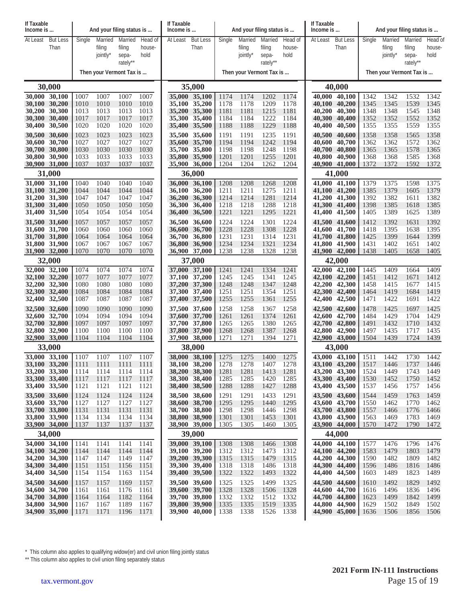| If Taxable                     | And your filing status is<br>Income is |              |                               | If Taxable<br>Income is                |                           | And your filing status is |                                     |              |                               | If Taxable<br>Income is                |                           | And your filing status is |                                |              |                               |                                        |                           |
|--------------------------------|----------------------------------------|--------------|-------------------------------|----------------------------------------|---------------------------|---------------------------|-------------------------------------|--------------|-------------------------------|----------------------------------------|---------------------------|---------------------------|--------------------------------|--------------|-------------------------------|----------------------------------------|---------------------------|
| At Least                       | <b>But Less</b><br>Than                | Single       | Married<br>filing<br>jointly' | Married<br>filing<br>sepa-<br>rately** | Head of<br>house-<br>hold | At Least                  | <b>But Less</b><br>Than             | Single       | Married<br>filing<br>jointly* | Married<br>filing<br>sepa-<br>rately** | Head of<br>house-<br>hold | At Least                  | <b>But Less</b><br>Than        | Single       | Married<br>filing<br>jointly* | Married<br>filing<br>sepa-<br>rately** | Head of<br>house-<br>hold |
|                                |                                        |              | Then your Vermont Tax is      |                                        |                           |                           |                                     |              | Then your Vermont Tax is      |                                        |                           |                           |                                |              | Then your Vermont Tax is      |                                        |                           |
|                                | 30,000                                 |              |                               |                                        |                           |                           | 35,000                              |              |                               |                                        |                           | 40,000                    |                                |              |                               |                                        |                           |
| 30,000 30,100                  | 30,100 30,200                          | 1007<br>1010 | 1007<br>1010                  | 1007<br>1010                           | 1007<br>1010              |                           | 35,000 35,100<br>35,100 35,200      | 1174<br>1178 | 1174<br>1178                  | 1202<br>1209                           | 1174<br>1178              | 40.000<br>40,100          | 40.100<br>40,200               | 1342<br>1345 | 1342<br>1345                  | 1532<br>1539                           | 1342<br>1345              |
| 30,200 30,300                  |                                        | 1013         | 1013                          | 1013                                   | 1013                      |                           | 35,200 35,300                       | 1181         | 1181                          | 1215                                   | 1181                      | 40,200                    | 40,300                         | 1348         | 1348                          | 1545                                   | 1348                      |
| 30,300 30,400<br>30,400        | 30,500                                 | 1017<br>1020 | 1017<br>1020                  | 1017<br>1020                           | 1017<br>1020              |                           | 35,300 35,400<br>35,400 35,500      | 1184<br>1188 | 1184<br>1188                  | 1222<br>1229                           | 1184<br>1188              | 40,300<br>40,400          | 40,400<br>40,500               | 1352<br>1355 | 1352<br>1355                  | 1552<br>1559                           | 1352<br>1355              |
| 30,500 30,600                  |                                        | 1023         | 1023                          | 1023                                   | 1023                      |                           | 35,500 35,600                       | 1191         | 1191                          | 1235                                   | 1191                      | 40,500                    | 40,600                         | 1358         | 1358                          | 1565                                   | 1358                      |
| 30,600 30,700                  | 30,700 30,800                          | 1027<br>1030 | 1027<br>1030                  | 1027<br>1030                           | 1027<br>1030              |                           | 35,600 35,700<br>35,700 35,800      | 1194<br>1198 | 1194<br>1198                  | 1242<br>1248                           | 1194<br>1198              | 40,600<br>40,700          | 40,700<br>40,800               | 1362<br>1365 | 1362<br>1365                  | 1572<br>1578                           | 1362<br>1365              |
| 30,800 30,900                  |                                        | 1033         | 1033                          | 1033                                   | 1033                      |                           | 35,800 35,900                       | 1201         | 1201                          | 1255                                   | 1201                      | 40,800                    | 40,900                         | 1368         | 1368                          | 1585                                   | 1368                      |
| 30,900 31,000                  |                                        | 1037         | 1037                          | 1037                                   | 1037                      |                           | 35,900 36,000                       | 1204         | 1204                          | 1262                                   | 1204                      | 40,900                    | 41,000                         | 1372         | 1372                          | 1592                                   | 1372                      |
| 31,000 31,100                  | 31,000                                 | 1040         | 1040                          | 1040                                   | 1040                      |                           | 36,000<br>36,000 36,100             | 1208         | 1208                          | 1268                                   | 1208                      | 41.000                    | 41,000<br>41,100               | 1379         | 1375                          | 1598                                   | 1375                      |
| 31,100 31,200                  |                                        | 1044         | 1044                          | 1044                                   | 1044                      | 36,100                    | 36,200                              | 1211         | 1211                          | 1275                                   | 1211                      | 41,100                    | 41,200                         | 1385         | 1379                          | 1605                                   | 1379                      |
| 31,200 31,300<br>31,300 31,400 |                                        | 1047<br>1050 | 1047<br>1050                  | 1047<br>1050                           | 1047<br>1050              | 36,300                    | 36,200 36,300<br>36,400             | 1214<br>1218 | 1214<br>1218                  | 1281<br>1288                           | 1214<br>1218              | 41,300                    | 41.200 41.300<br>41,400        | 1392<br>1398 | 1382<br>1385                  | 1611<br>1618                           | 1382<br>1385              |
| 31,400 31,500                  |                                        | 1054         | 1054                          | 1054                                   | 1054                      |                           | 36,400 36,500                       | 1221         | 1221                          | 1295                                   | 1221                      | 41,400                    | 41,500                         | 1405         | 1389                          | 1625                                   | 1389                      |
| 31,500 31,600                  |                                        | 1057         | 1057                          | 1057                                   | 1057                      |                           | 36,500 36,600                       | 1224         | 1224                          | 1301                                   | 1224                      | 41,500                    | 41,600                         | 1412         | 1392                          | 1631                                   | 1392                      |
| 31,600 31,700<br>31,700 31,800 |                                        | 1060<br>1064 | 1060<br>1064                  | 1060<br>1064                           | 1060<br>1064              | 36,700                    | 36,600 36,700<br>36,800             | 1228<br>1231 | 1228<br>1231                  | 1308<br>1314                           | 1228<br>1231              | 41,600<br>41,700          | 41,700<br>41,800               | 1418<br>1425 | 1395<br>1399                  | 1638<br>1644                           | 1395<br>1399              |
| 31,800 31,900                  |                                        | 1067         | 1067<br>1070                  | 1067<br>1070                           | 1067                      |                           | 36,800 36,900                       | 1234         | 1234<br>1238                  | 1321<br>1328                           | 1234                      | 41,800                    | 41,900<br>41,900 42,000        | 1431         | 1402                          | 1651                                   | 1402                      |
| 31,900 32,000                  | 32,000                                 | 1070         |                               |                                        | 1070                      |                           | 36,900 37,000<br>37,000             | 1238         |                               |                                        | 1238                      |                           | 42,000                         | 1438         | 1405                          | 1658                                   | 1405                      |
| 32,000 32,100                  |                                        | 1074         | 1074                          | 1074                                   | 1074                      |                           | 37,000 37,100                       | 1241         | 1241                          | 1334                                   | 1241                      | 42.000                    | 42,100                         | 1445         | 1409                          | 1664                                   | 1409                      |
| 32,200 32,300                  | 32,100 32,200                          | 1077<br>1080 | 1077<br>1080                  | 1077<br>1080                           | 1077<br>1080              |                           | 37,100 37,200<br>37,200 37,300      | 1245<br>1248 | 1245<br>1248                  | 1341<br>1347                           | 1245<br>1248              | 42,100<br>42,200          | 42,200<br>42,300               | 1451<br>1458 | 1412<br>1415                  | 1671<br>1677                           | 1412<br>1415              |
| 32,300 32,400                  |                                        | 1084         | 1084                          | 1084                                   | 1084                      |                           | 37,300 37,400                       | 1251         | 1251                          | 1354                                   | 1251                      | 42,300                    | 42,400                         | 1464         | 1419                          | 1684                                   | 1419                      |
| 32,400 32,500                  |                                        | 1087         | 1087                          | 1087                                   | 1087                      |                           | 37,400 37,500                       | 1255         | 1255                          | 1361                                   | 1255                      | 42,400                    | 42,500                         | 1471         | 1422                          | 1691                                   | 1422                      |
| 32,500 32,600<br>32,600 32,700 |                                        | 1090<br>1094 | 1090<br>1094                  | 1090<br>1094                           | 1090<br>1094              |                           | 37,500 37,600<br>37,600 37,700      | 1258<br>1261 | 1258<br>1261                  | 1367<br>1374                           | 1258<br>1261              | 42,500                    | 42,600<br>42,600 42,700        | 1478<br>1484 | 1425<br>1429                  | 1697<br>1704                           | 1425<br>1429              |
| 32,700 32,800                  |                                        | 1097         | 1097                          | 1097                                   | 1097                      |                           | 37,700 37,800                       | 1265         | 1265<br>1268                  | 1380<br>1387                           | 1265                      | 42,700<br>42,800          | 42,800                         | 1491<br>1497 | 1432<br>1435                  | 1710                                   | 1432<br>1435              |
| 32,800 32,900<br>32,900 33,000 |                                        | 1100<br>1104 | 1100<br>1104                  | 1100<br>1104                           | 1100<br>1104              |                           | 37,800 37,900<br>37,900 38,000      | 1268<br>1271 | 1271                          | 1394                                   | 1268<br>1271              |                           | 42,900<br>42,900 43,000        | 1504         | 1439                          | 1717<br>1724                           | 1439                      |
|                                | 33,000                                 |              |                               |                                        |                           |                           | 38,000                              |              |                               |                                        |                           |                           | 43,000                         |              |                               |                                        |                           |
| 33,100 33,200                  | 33,000 33,100   1107                   | 1111         | 1107<br>1111                  | 1107<br>1111                           | 1107<br>1111              |                           | 38,000 38,100 1275<br>38,100 38,200 | 1278         | 1275<br>1278                  | 1400<br>1407                           | 1275<br>1278              | 43,000                    | 43,100<br>43,100 43,200        | 1511<br>1517 | 1442<br>1446                  | 1730<br>1737                           | 1442<br>1446              |
| 33,200 33,300                  |                                        | 1114         | 1114                          | 1114                                   | 1114                      |                           | 38,200 38,300                       | 1281         | 1281                          | 1413                                   | 1281                      |                           | 43,200 43,300                  | 1524         | 1449                          | 1743                                   | 1449                      |
| 33,300 33,400<br>33,400 33,500 |                                        | 1117<br>1121 | 1117<br>1121                  | 1117<br>1121                           | 1117<br>1121              |                           | 38,300 38,400<br>38,400 38,500      | 1285<br>1288 | 1285<br>1288                  | 1420<br>1427                           | 1285<br>1288              |                           | 43,300 43,400<br>43,400 43,500 | 1530<br>1537 | 1452<br>1456                  | 1750<br>1757                           | 1452<br>1456              |
| 33,500 33,600                  |                                        | 1124         | 1124                          | 1124                                   | 1124                      |                           | 38,500 38,600                       | 1291         | 1291                          | 1433                                   | 1291                      |                           | 43,500 43,600                  | 1544         | 1459                          | 1763                                   | 1459                      |
| 33,600 33,700                  |                                        | 1127         | 1127                          | 1127                                   | 1127                      |                           | 38,600 38,700                       | 1295         | 1295                          | 1440                                   | 1295                      |                           | 43,600 43,700                  | 1550         | 1462                          | 1770                                   | 1462                      |
| 33,700 33,800<br>33,800 33,900 |                                        | 1131<br>1134 | 1131<br>1134                  | 1131<br>1134                           | 1131<br>1134              |                           | 38,700 38,800<br>38,800 38,900      | 1298<br>1301 | 1298<br>1301                  | 1446<br>1453                           | 1298<br>1301              |                           | 43,700 43,800<br>43,800 43,900 | 1557<br>1563 | 1466<br>1469                  | 1776<br>1783                           | 1466<br>1469              |
| 33,900 34,000                  |                                        | 1137         | 1137                          | 1137                                   | 1137                      |                           | 38,900 39,000                       | 1305         | 1305                          | 1460                                   | 1305                      |                           | 43,900 44,000                  | 1570         | 1472                          | 1790                                   | 1472                      |
|                                | 34,000                                 |              |                               |                                        |                           |                           | 39,000                              |              |                               |                                        |                           |                           | 44,000                         |              |                               |                                        |                           |
| 34,000 34,100<br>34,100 34,200 |                                        | 1141<br>1144 | 1141<br>1144                  | 1141<br>1144                           | 1141<br>1144              |                           | 39,000 39,100<br>39,100 39,200      | 1308<br>1312 | 1308<br>1312                  | 1466<br>1473                           | 1308<br>1312              |                           | 44,000 44,100<br>44,100 44,200 | 1577<br>1583 | 1476<br>1479                  | 1796<br>1803                           | 1476<br>1479              |
| 34,200 34,300                  |                                        | 1147         | 1147                          | 1149                                   | 1147                      |                           | 39,200 39,300                       | 1315         | 1315                          | 1479                                   | 1315                      |                           | 44,200 44,300                  | 1590         | 1482                          | 1809                                   | 1482                      |
| 34,300 34,400<br>34,400 34,500 |                                        | 1151<br>1154 | 1151<br>1154                  | 1156<br>1163                           | 1151<br>1154              |                           | 39,300 39,400<br>39,400 39,500      | 1318<br>1322 | 1318<br>1322                  | 1486<br>1493                           | 1318<br>1322              |                           | 44,300 44,400<br>44,400 44,500 | 1596<br>1603 | 1486<br>1489                  | 1816<br>1823                           | 1486<br>1489              |
| 34,500 34,600                  |                                        | 1157         | 1157                          | 1169                                   | 1157                      |                           | 39,500 39,600                       | 1325         | 1325                          | 1499                                   | 1325                      |                           | 44,500 44,600                  | 1610         | 1492                          | 1829                                   | 1492                      |
| 34,600 34,700<br>34,700 34,800 |                                        | 1161<br>1164 | 1161<br>1164                  | 1176<br>1182                           | 1161<br>1164              |                           | 39,600 39,700<br>39,700 39,800      | 1328<br>1332 | 1328<br>1332                  | 1506<br>1512                           | 1328<br>1332              |                           | 44,600 44,700<br>44,700 44,800 | 1616<br>1623 | 1496<br>1499                  | 1836<br>1842                           | 1496<br>1499              |
| 34,800 34,900                  |                                        | 1167         | 1167                          | 1189                                   | 1167                      |                           | 39,800 39,900                       | 1335         | 1335                          | 1519                                   | 1335                      |                           | 44,800 44,900                  | 1629         | 1502                          | 1849                                   | 1502                      |
| 34,900 35,000                  |                                        | 1171         | 1171                          | 1196                                   | 1171                      |                           | 39,900 40,000   1338                |              | 1338                          | 1526                                   | 1338                      |                           | 44,900 45,000   1636           |              | 1506                          | 1856                                   | 1506                      |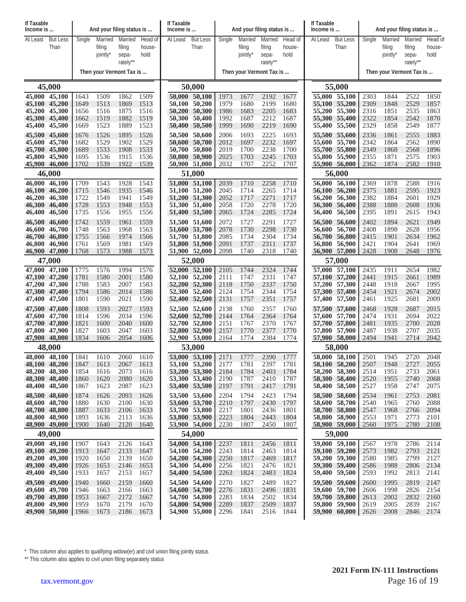| If Taxable<br>Income is        |                 |              |              | And your filing status is |              | If Taxable<br>Income is |                                |              | And your filing status is |                   |              | If Taxable<br>Income is |                                |              | And your filing status is |                   |              |
|--------------------------------|-----------------|--------------|--------------|---------------------------|--------------|-------------------------|--------------------------------|--------------|---------------------------|-------------------|--------------|-------------------------|--------------------------------|--------------|---------------------------|-------------------|--------------|
| At Least                       | <b>But Less</b> | Single       | Married      | Married                   | Head of      | At Least                | <b>But Less</b>                | Single       | Married                   | Married           | Head of      | At Least                | <b>But Less</b>                | Single       | Married                   | Married           | Head of      |
|                                | Than            |              | filing       | filing                    | house-       |                         | Than                           |              | filing                    | filing            | house-       |                         | Than                           |              | filing                    | filing            | house-       |
|                                |                 |              | jointly*     | sepa-<br>rately**         | hold         |                         |                                |              | jointly*                  | sepa-<br>rately** | hold         |                         |                                |              | jointly*                  | sepa-<br>rately** | hold         |
|                                |                 |              |              | Then your Vermont Tax is  |              |                         |                                |              | Then your Vermont Tax is  |                   |              |                         |                                |              | Then your Vermont Tax is  |                   |              |
|                                | 45,000          |              |              |                           |              | 50,000                  |                                |              |                           |                   | 55,000       |                         |                                |              |                           |                   |              |
| 45,000 45,100                  |                 | 1643         | 1509         | 1862                      | 1509         |                         | 50,000 50,100                  | 1973         | 1677                      | 2192              | 1677         |                         | 55,000 55,100                  | 2303         | 1844                      | 2522              | 1850         |
| 45,100 45,200                  |                 | 1649         | 1513         | 1869                      | 1513         |                         | 50,100 50,200                  | 1979         | 1680                      | 2199              | 1680         |                         | 55,100 55,200                  | 2309         | 1848                      | 2529              | 1857         |
| 45,200 45,300<br>45,300 45,400 |                 | 1656<br>1662 | 1516<br>1519 | 1875<br>1882              | 1516<br>1519 |                         | 50,200 50,300<br>50,300 50,400 | 1986<br>1992 | 1683<br>1687              | 2205<br>2212      | 1683<br>1687 |                         | 55,200 55,300<br>55,300 55,400 | 2316<br>2322 | 1851<br>1854              | 2535<br>2542      | 1863<br>1870 |
| 45,400                         | 45,500          | 1669         | 1523         | 1889                      | 1523         |                         | 50,400 50,500                  | 1999         | 1690                      | 2219              | 1690         | 55,400                  | 55,500                         | 2329         | 1858                      | 2549              | 1877         |
| 45,500 45,600                  |                 | 1676         | 1526         | 1895                      | 1526         |                         | 50,500 50,600                  | 2006         | 1693                      | 2225              | 1693         |                         | 55,500 55,600                  | 2336         | 1861                      | 2555              | 1883         |
| 45,600                         | 45,700          | 1682         | 1529         | 1902<br>1908              | 1529         |                         | 50,600 50,700                  | 2012         | 1697                      | 2232<br>2238      | 1697         |                         | 55,600 55,700                  | 2342<br>2349 | 1864                      | 2562              | 1890<br>1896 |
| 45,700 45,800<br>45,800 45,900 |                 | 1689<br>1695 | 1533<br>1536 | 1915                      | 1533<br>1536 |                         | 50,700 50,800<br>50,800 50,900 | 2019<br>2025 | 1700<br>1703              | 2245              | 1700<br>1703 |                         | 55,700 55,800<br>55,800 55,900 | 2355         | 1868<br>1871              | 2568<br>2575      | 1903         |
| 45,900 46,000                  |                 | 1702         | 1539         | 1922                      | 1539         |                         | 50,900 51,000                  | 2032         | 1707                      | 2252              | 1707         |                         | 55,900 56,000                  | 2362         | 1874                      | 2582              | 1910         |
|                                | 46,000          |              |              |                           |              |                         | 51,000                         |              |                           |                   |              |                         | 56,000                         |              |                           |                   |              |
| 46,000 46,100<br>46,100 46,200 |                 | 1709<br>1715 | 1543<br>1546 | 1928<br>1935              | 1543<br>1546 |                         | 51,000 51,100<br>51,100 51,200 | 2039<br>2045 | 1710<br>1714              | 2258<br>2265      | 1710<br>1714 |                         | 56,000 56,100<br>56,100 56,200 | 2369<br>2375 | 1878<br>1881              | 2588<br>2595      | 1916<br>1923 |
| 46,200 46,300                  |                 | 1722         | 1549         | 1941                      | 1549         |                         | 51,200 51,300                  | 2052         | 1717                      | 2271              | 1717         | 56,200                  | 56,300                         | 2382         | 1884                      | 2601              | 1929         |
| 46,300 46,400                  |                 | 1728         | 1553         | 1948                      | 1553         |                         | 51,300 51,400                  | 2058         | 1720                      | 2278              | 1720         | 56,300                  | 56,400                         | 2388         | 1888                      | 2608              | 1936         |
| 46,400                         | 46,500          | 1735         | 1556         | 1955                      | 1556         |                         | 51,400 51,500                  | 2065         | 1724                      | 2285              | 1724         |                         | 56,400 56,500                  | 2395         | 1891                      | 2615              | 1943         |
| 46,500 46,600<br>46,600        | 46,700          | 1742<br>1748 | 1559<br>1563 | 1961<br>1968              | 1559<br>1563 |                         | 51,500 51,600<br>51,600 51,700 | 2072<br>2078 | 1727<br>1730              | 2291<br>2298      | 1727<br>1730 | 56,500<br>56,600        | 56,600<br>56,700               | 2402<br>2408 | 1894<br>1898              | 2621<br>2628      | 1949<br>1956 |
| 46,700 46,800                  |                 | 1755         | 1566         | 1974                      | 1566         |                         | 51,700 51,800                  | 2085         | 1734                      | 2304              | 1734         |                         | 56,700 56,800                  | 2415         | 1901                      | 2634              | 1962         |
| 46,800 46,900                  |                 | 1761         | 1569         | 1981                      | 1569         |                         | 51,800 51,900                  | 2091         | 1737                      | 2311              | 1737         |                         | 56,800 56,900                  | 2421         | 1904                      | 2641              | 1969         |
| 46,900 47,000                  | 47,000          | 1768         | 1573         | 1988                      | 1573         |                         | 51,900 52,000<br>52,000        | 2098         | 1740                      | 2318              | 1740         |                         | 56,900 57,000<br>57,000        | 2428         | 1908                      | 2648              | 1976         |
| 47,000 47,100                  |                 | 1775         | 1576         | 1994                      | 1576         |                         | 52,000 52,100                  | 2105         | 1744                      | 2324              | 1744         |                         | 57,000 57,100                  | 2435         | 1911                      | 2654              | 1982         |
| 47,100 47,200                  |                 | 1781         | 1580         | 2001                      | 1580         |                         | 52,100 52,200                  | 2111         | 1747                      | 2331              | 1747         |                         | 57,100 57,200                  | 2441         | 1915                      | 2661              | 1989         |
| 47,200 47,300                  |                 | 1788         | 1583         | 2007                      | 1583         |                         | 52,200 52,300                  | 2118         | 1750                      | 2337              | 1750         |                         | 57,200 57,300                  | 2448         | 1918                      | 2667              | 1995<br>2002 |
| 47,300 47,400<br>47,400 47,500 |                 | 1794<br>1801 | 1586<br>1590 | 2014<br>2021              | 1586<br>1590 |                         | 52,300 52,400<br>52,400 52,500 | 2124<br>2131 | 1754<br>1757              | 2344<br>2351      | 1754<br>1757 |                         | 57,300 57,400<br>57,400 57,500 | 2454<br>2461 | 1921<br>1925              | 2674<br>2681      | 2009         |
| 47,500 47,600                  |                 | 1808         | 1593         | 2027                      | 1593         |                         | 52,500 52,600                  | 2138         | 1760                      | 2357              | 1760         |                         | 57,500 57,600                  | 2468         | 1928                      | 2687              | 2015         |
| 47,600 47,700                  |                 | 1814         | 1596         | 2034                      | 1596         |                         | 52,600 52,700                  | 2144         | 1764                      | 2364              | 1764         | 57,600                  | 57,700                         | 2474         | 1931                      | 2694              | 2022         |
| 47,700 47,800<br>47,800 47,900 |                 | 1821<br>1827 | 1600<br>1603 | 2040<br>2047              | 1600<br>1603 |                         | 52,700 52,800<br>52,800 52,900 | 2151<br>2157 | 1767<br>1770              | 2370<br>2377      | 1767<br>1770 |                         | 57,700 57,800<br>57,800 57,900 | 2481<br>2487 | 1935<br>1938              | 2700<br>2707      | 2028<br>2035 |
| 47,900 48,000                  |                 | 1834         | 1606         | 2054                      | 1606         |                         | 52,900 53,000                  | 2164         | 1774                      | 2384              | 1774         |                         | 57,900 58,000                  | 2494         | 1941                      | 2714              | 2042         |
|                                | 48,000          |              |              |                           |              |                         | 53,000                         |              |                           |                   |              |                         | 58,000                         |              |                           |                   |              |
| 48,000 48,100                  |                 | 1841         | 1610         | 2060                      | 1610         |                         | 53,000 53,100                  | 2171         | 1777                      | 2390              | 1777         |                         | 58,000 58,100                  | 2501         | 1945                      | 2720              | 2048         |
| 48,100 48,200<br>48,200 48,300 |                 | 1847<br>1854 | 1613<br>1616 | 2067<br>2073              | 1613<br>1616 |                         | 53,100 53,200<br>53,200 53,300 | 2177<br>2184 | 1781<br>1784              | 2397<br>2403      | 1781<br>1784 |                         | 58,100 58,200<br>58,200 58,300 | 2507<br>2514 | 1948<br>1951              | 2727<br>2733      | 2055<br>2061 |
| 48,300 48,400                  |                 | 1860         | 1620         | 2080                      | 1620         |                         | 53,300 53,400                  | 2190         | 1787                      | 2410              | 1787         |                         | 58,300 58,400                  | 2520         | 1955                      | 2740              | 2068         |
| 48,400 48,500                  |                 | 1867         | 1623         | 2087                      | 1623         |                         | 53,400 53,500                  | 2197         | 1791                      | 2417              | 1791         |                         | 58,400 58,500                  | 2527         | 1958                      | 2747              | 2075         |
| 48,500 48,600<br>48,600 48,700 |                 | 1874<br>1880 | 1626<br>1630 | 2093<br>2100              | 1626<br>1630 |                         | 53,500 53,600<br>53,600 53,700 | 2204<br>2210 | 1794<br>1797              | 2423<br>2430      | 1794<br>1797 |                         | 58,500 58,600<br>58,600 58,700 | 2534<br>2540 | 1961<br>1965              | 2753<br>2760      | 2081<br>2088 |
| 48,700 48,800                  |                 | 1887         | 1633         | 2106                      | 1633         |                         | 53,700 53,800                  | 2217         | 1801                      | 2436              | 1801         |                         | 58,700 58,800                  | 2547         | 1968                      | 2766              | 2094         |
| 48,800 48,900<br>48,900 49,000 |                 | 1893<br>1900 | 1636<br>1640 | 2113<br>2120              | 1636<br>1640 |                         | 53,800 53,900<br>53,900 54,000 | 2223<br>2230 | 1804<br>1807              | 2443<br>2450      | 1804<br>1807 |                         | 58,800 58,900<br>58,900 59,000 | 2553<br>2560 | 1971<br>1975              | 2773<br>2780      | 2101<br>2108 |
|                                | 49,000          |              |              |                           |              |                         | 54,000                         |              |                           |                   |              |                         | 59,000                         |              |                           |                   |              |
| $49,000$ $49,100$              |                 | 1907         | 1643         | 2126                      | 1643         |                         | 54,000 54,100                  | 2237         | 1811                      | 2456              | 1811         |                         | $\overline{59,000}$ 59,100     | 2567         | 1978                      | 2786              | 2114         |
| 49,100 49,200                  |                 | 1913         | 1647         | 2133                      | 1647         |                         | 54,100 54,200                  | 2243         | 1814                      | 2463              | 1814         |                         | 59,100 59,200                  | 2573         | 1982                      | 2793              | 2121         |
| 49,200 49,300<br>49,300 49,400 |                 | 1920<br>1926 | 1650<br>1653 | 2139<br>2146              | 1650<br>1653 |                         | 54,200 54,300<br>54,300 54,400 | 2250<br>2256 | 1817<br>1821              | 2469<br>2476      | 1817<br>1821 |                         | 59,200 59,300<br>59,300 59,400 | 2580<br>2586 | 1985<br>1988              | 2799<br>2806      | 2127<br>2134 |
| 49,400 49,500                  |                 | 1933         | 1657         | 2153                      | 1657         |                         | 54,400 54,500                  | 2263         | 1824                      | 2483              | 1824         |                         | 59,400 59,500                  | 2593         | 1992                      | 2813              | 2141         |
| 49,500 49,600                  |                 | 1940         | 1660         | 2159                      | 1660         |                         | 54,500 54,600                  | 2270         | 1827                      | 2489              | 1827         |                         | 59,500 59,600                  | 2600         | 1995                      | 2819              | 2147         |
| 49,600 49,700                  |                 | 1946         | 1663         | 2166                      | 1663         |                         | 54,600 54,700                  | 2276         | 1831                      | 2496              | 1831         |                         | 59,600 59,700                  | 2606         | 1998                      | 2826              | 2154         |
| 49,700 49,800<br>49,800 49,900 |                 | 1953<br>1959 | 1667<br>1670 | 2172<br>2179              | 1667<br>1670 |                         | 54,700 54,800<br>54,800 54,900 | 2283<br>2289 | 1834<br>1837              | 2502<br>2509      | 1834<br>1837 |                         | 59,700 59,800<br>59,800 59,900 | 2613<br>2619 | 2002<br>2005              | 2832<br>2839      | 2160<br>2167 |
| 49,900 50,000                  |                 | 1966         | 1673         | 2186                      | 1673         |                         | 54,900 55,000                  | 2296         | 1841                      | 2516              | 1844         |                         | 59,900 60,000                  | 2626         | 2008                      | 2846              | 2174         |
|                                |                 |              |              |                           |              |                         |                                |              |                           |                   |              |                         |                                |              |                           |                   |              |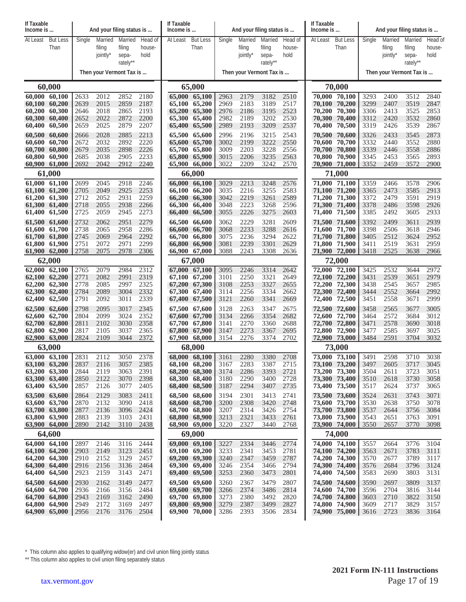| If Taxable<br>Income is        |                                | And your filing status is |                               |                                        |                           | If Taxable<br>Income is |                                | And your filing status is |                               |                                        |                           | If Taxable<br>Income is |                                | And your filing status is |                               |                                        |                           |
|--------------------------------|--------------------------------|---------------------------|-------------------------------|----------------------------------------|---------------------------|-------------------------|--------------------------------|---------------------------|-------------------------------|----------------------------------------|---------------------------|-------------------------|--------------------------------|---------------------------|-------------------------------|----------------------------------------|---------------------------|
| At Least                       | <b>But Less</b><br>Than        | Single                    | Married<br>filing<br>jointly* | Married<br>filing<br>sepa-<br>rately** | Head of<br>house-<br>hold | At Least                | <b>But Less</b><br>Than        | Single                    | Married<br>filing<br>jointly* | Married<br>filing<br>sepa-<br>rately** | Head of<br>house-<br>hold | At Least                | <b>But Less</b><br>Than        | Single                    | Married<br>filing<br>jointly* | Married<br>filing<br>sepa-<br>rately** | Head of<br>house-<br>hold |
|                                |                                |                           | Then your Vermont Tax is      |                                        |                           |                         |                                | Then your Vermont Tax is  |                               |                                        |                           |                         | Then your Vermont Tax is       |                           |                               |                                        |                           |
|                                | 60,000                         |                           |                               |                                        |                           |                         | 65,000                         |                           |                               |                                        |                           |                         | 70,000                         |                           |                               |                                        |                           |
| 60,000 60,100<br>60,100 60,200 |                                | 2633<br>2639              | 2012<br>2015                  | 2852<br>2859                           | 2180<br>2187              |                         | 65,000 65,100<br>65,100 65,200 | 2963<br>2969              | 2179<br>2183                  | 3182<br>3189                           | 2510<br>2517              | 70,100                  | 70,000 70,100<br>70,200        | 3293<br>3299              | 2400<br>2407                  | 3512<br>3519                           | 2840<br>2847              |
| 60,200 60,300                  |                                | 2646                      | 2018                          | 2865                                   | 2193                      |                         | 65,200 65,300                  | 2976                      | 2186                          | 3195                                   | 2523                      | 70,200                  | 70,300                         | 3306                      | 2413                          | 3525                                   | 2853                      |
| 60,300 60,400                  |                                | 2652                      | 2022                          | 2872                                   | 2200                      |                         | 65,300 65,400                  | 2982                      | 2189                          | 3202                                   | 2530                      | 70,300                  | 70,400                         | 3312                      | 2420                          | 3532                                   | 2860                      |
| 60,400 60,500<br>60,500 60,600 |                                | 2659<br>2666              | 2025<br>2028                  | 2879<br>2885                           | 2207<br>2213              |                         | 65,400 65,500<br>65,500 65,600 | 2989<br>2996              | 2193<br>2196                  | 3209<br>3215                           | 2537<br>2543              | 70,400<br>70,500        | 70,500<br>70,600               | 3319<br>3326              | 2426<br>2433                  | 3539<br>3545                           | 2867<br>2873              |
| 60,600 60,700                  |                                | 2672                      | 2032                          | 2892                                   | 2220                      |                         | 65,600 65,700                  | 3002                      | 2199                          | 3222                                   | 2550                      | 70,600                  | 70,700                         | 3332                      | 2440                          | 3552                                   | 2880                      |
| 60,700 60,800                  |                                | 2679                      | 2035                          | 2898                                   | 2226                      |                         | 65,700 65,800                  | 3009                      | 2203                          | 3228                                   | 2556                      | 70,700                  | 70,800                         | 3339                      | 2446                          | 3558                                   | 2886                      |
| 60,800 60,900                  | 60,900 61,000                  | 2685<br>2692              | 2038<br>2042                  | 2905<br>2912                           | 2233<br>2240              |                         | 65,800 65,900<br>65,900 66,000 | 3015<br>3022              | 2206<br>2209                  | 3235<br>3242                           | 2563<br>2570              | 70,800                  | 70,900<br>70,900 71,000        | 3345<br>3352              | 2453<br>2459                  | 3565<br>3572                           | 2893<br>2900              |
|                                | 61,000                         |                           |                               |                                        |                           |                         | 66,000                         |                           |                               |                                        |                           |                         | 71,000                         |                           |                               |                                        |                           |
| 61,000 61,100                  |                                | 2699                      | 2045                          | 2918                                   | 2246                      |                         | 66,000 66,100                  | 3029                      | 2213                          | 3248                                   | 2576                      |                         | 71,000 71,100                  | 3359                      | 2466                          | 3578                                   | 2906                      |
| 61,100 61,200<br>61,200 61,300 |                                | 2705<br>2712              | 2049<br>2052                  | 2925<br>2931                           | 2253<br>2259              |                         | 66,100 66,200<br>66,200 66,300 | 3035<br>3042              | 2216<br>2219                  | 3255<br>3261                           | 2583<br>2589              |                         | 71,100 71,200<br>71,200 71,300 | 3365<br>3372              | 2473<br>2479                  | 3585<br>3591                           | 2913<br>2919              |
| 61,300 61,400                  |                                | 2718                      | 2055                          | 2938                                   | 2266                      |                         | 66,300 66,400                  | 3048                      | 2223                          | 3268                                   | 2596                      |                         | 71,300 71,400                  | 3378                      | 2486                          | 3598                                   | 2926                      |
| 61,400 61,500                  |                                | 2725                      | 2059                          | 2945                                   | 2273                      |                         | 66,400 66,500                  | 3055                      | 2226                          | 3275                                   | 2603                      | 71,400                  | 71,500                         | 3385                      | 2492                          | 3605                                   | 2933                      |
| 61,500 61,600<br>61,600 61,700 |                                | 2732<br>2738              | 2062<br>2065                  | 2951<br>2958                           | 2279<br>2286              |                         | 66,500 66,600<br>66,600 66,700 | 3062<br>3068              | 2229<br>2233                  | 3281<br>3288                           | 2609<br>2616              | 71,600                  | 71,500 71,600<br>71,700        | 3392<br>3398              | 2499<br>2506                  | 3611<br>3618                           | 2939<br>2946              |
| 61,700 61,800                  |                                | 2745                      | 2069                          | 2964                                   | 2292                      |                         | 66,700 66,800                  | 3075                      | 2236                          | 3294                                   | 2622                      |                         | 71,700 71,800                  | 3405                      | 2512                          | 3624                                   | 2952                      |
| 61,800 61,900                  | 61,900 62,000                  | 2751<br>2758              | 2072<br>2075                  | 2971<br>2978                           | 2299<br>2306              |                         | 66,800 66,900<br>66,900 67,000 | 3081<br>3088              | 2239<br>2243                  | 3301<br>3308                           | 2629<br>2636              |                         | 71,800 71,900<br>71,900 72,000 | 3411<br>3418              | 2519<br>2525                  | 3631<br>3638                           | 2959<br>2966              |
|                                | 62,000                         |                           |                               |                                        |                           |                         | 67,000                         |                           |                               |                                        |                           |                         | 72,000                         |                           |                               |                                        |                           |
| 62,000 62,100                  |                                | 2765                      | 2079                          | 2984                                   | 2312                      |                         | 67,000 67,100                  | 3095                      | 2246                          | 3314                                   | 2642                      |                         | 72,000 72,100                  | 3425                      | 2532                          | 3644                                   | 2972                      |
| 62,100 62,200<br>62,200 62,300 |                                | 2771<br>2778              | 2082<br>2085                  | 2991<br>2997                           | 2319<br>2325              |                         | 67,100 67,200<br>67,200 67,300 | 3101<br>3108              | 2250<br>2253                  | 3321<br>3327                           | 2649<br>2655              | 72,200                  | 72,100 72,200<br>72,300        | 3431<br>3438              | 2539<br>2545                  | 3651<br>3657                           | 2979<br>2985              |
| 62,300 62,400                  |                                | 2784                      | 2089                          | 3004                                   | 2332                      |                         | 67,300 67,400                  | 3114                      | 2256                          | 3334                                   | 2662                      |                         | 72,300 72,400                  | 3444                      | 2552                          | 3664                                   | 2992                      |
| 62,400 62,500                  |                                | 2791                      | 2092                          | 3011                                   | 2339                      |                         | 67,400 67,500                  | 3121                      | 2260                          | 3341                                   | 2669                      | 72,400                  | 72,500                         | 3451                      | 2558                          | 3671                                   | 2999                      |
| 62,500 62,600<br>62,600 62,700 |                                | 2798<br>2804              | 2095<br>2099                  | 3017<br>3024                           | 2345<br>2352              |                         | 67,500 67,600<br>67,600 67,700 | 3128<br>3134              | 2263<br>2266                  | 3347<br>3354                           | 2675<br>2682              | 72,500<br>72,600        | 72,600<br>72,700               | 3458<br>3464              | 2565<br>2572                  | 3677<br>3684                           | 3005<br>3012              |
| 62,700 62,800                  |                                | 2811                      | 2102                          | 3030                                   | 2358                      |                         | 67,700 67,800                  | 3141                      | 2270                          | 3360                                   | 2688                      |                         | 72,700 72,800                  | 3471                      | 2578                          | 3690                                   | 3018                      |
| 62,800 62,900<br>62,900 63,000 |                                | 2817<br>2824              | 2105<br>2109                  | 3037<br>3044                           | 2365<br>2372              |                         | 67,800 67,900<br>67,900 68,000 | 3147<br>3154              | 2273<br>2276                  | 3367<br>3374                           | 2695<br>2702              |                         | 72,800 72,900<br>72,900 73,000 | 3477<br>3484              | 2585<br>2591                  | 3697<br>3704                           | 3025<br>3032              |
|                                | 63,000                         |                           |                               |                                        |                           |                         | 68,000                         |                           |                               |                                        |                           |                         | 73,000                         |                           |                               |                                        |                           |
|                                | 63,000 63,100                  |                           | 2112                          | 3050                                   | 2378                      |                         | 68,000 68,100 3161             |                           | 2280                          | 3380                                   | 2708                      |                         | 73,000 73,100                  | 3491                      | 2598                          | 3710                                   | 3038                      |
|                                | 63,100 63,200                  | 2837                      | 2116                          | 3057                                   | 2385                      |                         | 68,100 68,200                  | 3167                      | 2283                          | 3387                                   | 2715                      |                         | 73,100 73,200                  | 3497                      | 2605                          | 3717                                   | 3045                      |
|                                | 63,200 63,300<br>63,300 63,400 | 2844<br>2850              | 2119<br>2122                  | 3063<br>3070                           | 2391<br>2398              |                         | 68,200 68,300<br>68,300 68,400 | 3174<br>3180              | 2286<br>2290                  | 3393<br>3400                           | 2721<br>2728              |                         | 73,200 73,300<br>73,300 73,400 | 3504<br>3510              | 2611<br>2618                  | 3723<br>3730                           | 3051<br>3058              |
|                                | 63,400 63,500                  | 2857                      | 2126                          | 3077                                   | 2405                      |                         | 68,400 68,500                  | 3187                      | 2294                          | 3407                                   | 2735                      |                         | 73,400 73,500                  | 3517                      | 2624                          | 3737                                   | 3065                      |
|                                | 63,500 63,600                  | 2864<br>2870              | 2129                          | 3083                                   | 2411                      |                         | 68,500 68,600                  | 3194                      | 2301                          | 3413                                   | 2741                      |                         | 73,500 73,600                  | 3524                      | 2631                          | 3743                                   | 3071                      |
| 63,700 63,800                  | 63,600 63,700                  | 2877                      | 2132<br>2136                  | 3090<br>3096                           | 2418<br>2424              |                         | 68,600 68,700<br>68,700 68,800 | 3200<br>3207              | 2308<br>2314                  | 3420<br>3426                           | 2748<br>2754              |                         | 73,600 73,700<br>73,700 73,800 | 3530<br>3537              | 2638<br>2644                  | 3750<br>3756                           | 3078<br>3084              |
| 63,800 63,900                  |                                | 2883                      | 2139                          | 3103                                   | 2431                      |                         | 68,800 68,900                  | 3213                      | 2321                          | 3433                                   | 2761                      |                         | 73,800 73,900                  | 3543                      | 2651                          | 3763                                   | 3091                      |
|                                | 63,900 64,000<br>64,600        | 2890                      | 2142                          | 3110                                   | 2438                      |                         | 68,900 69,000<br>69,000        | 3220                      | 2327                          | 3440                                   | 2768                      |                         | 73,900 74,000<br>74,000        | 3550                      | 2657                          | 3770                                   | 3098                      |
| 64,000 64,100                  |                                | 2897                      | 2146                          | 3116                                   | 2444                      |                         | 69,000 69,100                  | 3227                      | 2334                          | 3446                                   | 2774                      |                         | 74,000 74,100                  | 3557                      | 2664                          | 3776                                   | 3104                      |
| 64,100 64,200                  |                                | 2903                      | 2149                          | 3123                                   | 2451                      |                         | 69,100 69,200                  | 3233                      | 2341                          | 3453                                   | 2781                      |                         | 74,100 74,200                  | 3563                      | 2671                          | 3783                                   | 3111                      |
|                                | 64,200 64,300<br>64,300 64,400 | 2910<br>2916              | 2152<br>2156                  | 3129<br>3136                           | 2457<br>2464              |                         | 69,200 69,300<br>69,300 69,400 | 3240<br>3246              | 2347<br>2354                  | 3459<br>3466                           | 2787<br>2794              |                         | 74,200 74,300<br>74,300 74,400 | 3570<br>3576              | 2677<br>2684                  | 3789<br>3796                           | 3117<br>3124              |
|                                | 64,400 64,500                  | 2923                      | 2159                          | 3143                                   | 2471                      |                         | 69,400 69,500                  | 3253                      | 2360                          | 3473                                   | 2801                      |                         | 74,400 74,500                  | 3583                      | 2690                          | 3803                                   | 3131                      |
|                                | 64,500 64,600                  | 2930                      | 2162                          | 3149                                   | 2477                      |                         | 69,500 69,600                  | 3260                      | 2367                          | 3479                                   | 2807                      |                         | 74,500 74,600                  | 3590                      | 2697                          | 3809                                   | 3137                      |
| 64,700 64,800                  | 64,600 64,700                  | 2936<br>2943              | 2166<br>2169                  | 3156<br>3162                           | 2484<br>2490              |                         | 69,600 69,700<br>69,700 69,800 | 3266<br>3273              | 2374<br>2380                  | 3486<br>3492                           | 2814<br>2820              |                         | 74,600 74,700<br>74,700 74,800 | 3596<br>3603              | 2704<br>2710                  | 3816<br>3822                           | 3144<br>3150              |
|                                | 64,800 64,900                  | 2949                      | 2172                          | 3169                                   | 2497                      |                         | 69,800 69,900                  | 3279                      | 2387                          | 3499                                   | 2827                      |                         | 74,800 74,900                  | 3609                      | 2717                          | 3829                                   | 3157                      |
|                                | 64,900 65,000                  | 2956                      | 2176                          | 3176 2504                              |                           |                         | $69,900$ 70,000                | 3286                      | 2393                          | 3506                                   | 2834                      |                         | 74,900 75,000 3616             |                           | 2723                          | 3836                                   | 3164                      |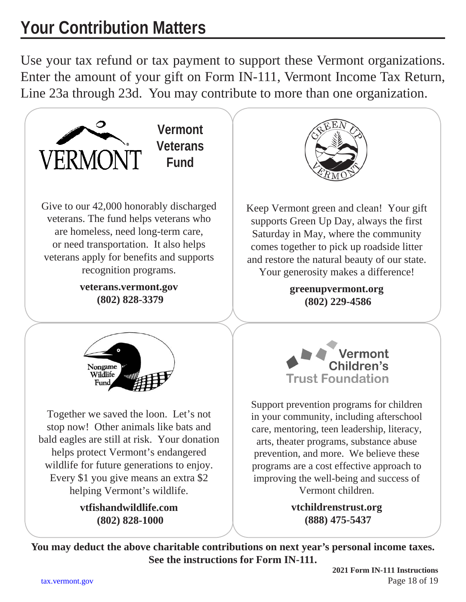# **Your Contribution Matters**

Use your tax refund or tax payment to support these Vermont organizations. Enter the amount of your gift on Form IN-111, Vermont Income Tax Return, Line 23a through 23d. You may contribute to more than one organization.